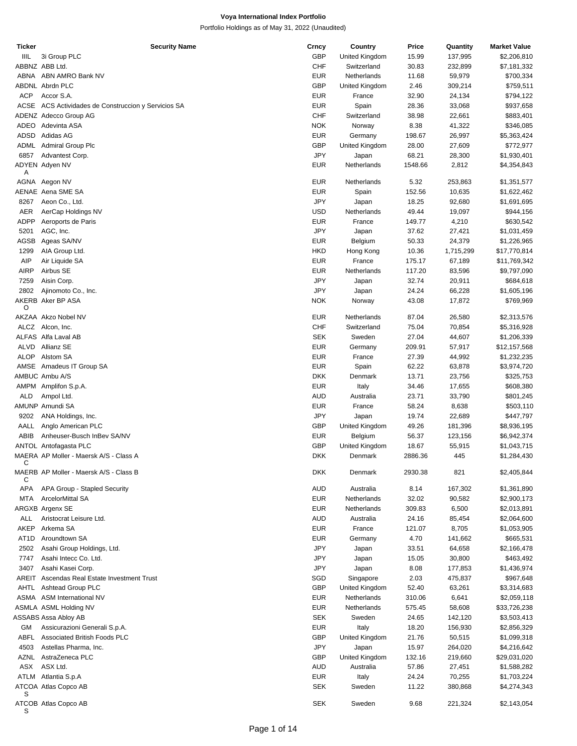| <b>Ticker</b>     | <b>Security Name</b>                                | Crncy      | Country        | Price   | Quantity  | <b>Market Value</b> |
|-------------------|-----------------------------------------------------|------------|----------------|---------|-----------|---------------------|
| IIIL              | 3i Group PLC                                        | <b>GBP</b> | United Kingdom | 15.99   | 137,995   | \$2,206,810         |
|                   | ABBNZ ABB Ltd.                                      | <b>CHF</b> | Switzerland    | 30.83   | 232,899   | \$7,181,332         |
|                   | ABNA ABN AMRO Bank NV                               | <b>EUR</b> | Netherlands    | 11.68   | 59,979    | \$700,334           |
|                   | ABDNL Abrdn PLC                                     | <b>GBP</b> | United Kingdom | 2.46    | 309,214   | \$759,511           |
| <b>ACP</b>        | Accor S.A.                                          | <b>EUR</b> | France         | 32.90   | 24,134    | \$794,122           |
|                   | ACSE ACS Actividades de Construccion y Servicios SA | <b>EUR</b> | Spain          | 28.36   | 33,068    | \$937,658           |
|                   | ADENZ Adecco Group AG                               | <b>CHF</b> | Switzerland    | 38.98   | 22,661    | \$883,401           |
|                   |                                                     |            |                |         |           |                     |
|                   | ADEO Adevinta ASA                                   | <b>NOK</b> | Norway         | 8.38    | 41,322    | \$346,085           |
| ADSD              | Adidas AG                                           | <b>EUR</b> | Germany        | 198.67  | 26,997    | \$5,363,424         |
| ADML              | Admiral Group Plc                                   | <b>GBP</b> | United Kingdom | 28.00   | 27,609    | \$772,977           |
| 6857              | Advantest Corp.                                     | <b>JPY</b> | Japan          | 68.21   | 28,300    | \$1,930,401         |
|                   | ADYEN Adyen NV                                      | <b>EUR</b> | Netherlands    | 1548.66 | 2,812     | \$4,354,843         |
| Α                 |                                                     |            |                |         |           |                     |
|                   | AGNA Aegon NV                                       | <b>EUR</b> | Netherlands    | 5.32    | 253,863   | \$1,351,577         |
|                   | AENAE Aena SME SA                                   | <b>EUR</b> | Spain          | 152.56  | 10,635    | \$1,622,462         |
| 8267              | Aeon Co., Ltd.                                      | <b>JPY</b> | Japan          | 18.25   | 92,680    | \$1,691,695         |
| AER               | AerCap Holdings NV                                  | <b>USD</b> | Netherlands    | 49.44   | 19,097    | \$944,156           |
| <b>ADPP</b>       | Aeroports de Paris                                  | <b>EUR</b> | France         | 149.77  | 4,210     | \$630,542           |
| 5201              | AGC, Inc.                                           | JPY        | Japan          | 37.62   | 27,421    | \$1,031,459         |
| AGSB              | Ageas SA/NV                                         | <b>EUR</b> | Belgium        | 50.33   | 24,379    | \$1,226,965         |
| 1299              | AIA Group Ltd.                                      | <b>HKD</b> | Hong Kong      | 10.36   | 1,715,299 | \$17,770,814        |
| <b>AIP</b>        | Air Liquide SA                                      | <b>EUR</b> | France         | 175.17  | 67,189    | \$11,769,342        |
| <b>AIRP</b>       | Airbus SE                                           | <b>EUR</b> | Netherlands    | 117.20  | 83,596    | \$9,797,090         |
| 7259              | Aisin Corp.                                         | JPY        | Japan          | 32.74   | 20,911    | \$684,618           |
| 2802              | Ajinomoto Co., Inc.                                 | JPY        |                | 24.24   | 66,228    | \$1,605,196         |
|                   | AKERB Aker BP ASA                                   | <b>NOK</b> | Japan          | 43.08   |           | \$769,969           |
| O                 |                                                     |            | Norway         |         | 17,872    |                     |
|                   | AKZAA Akzo Nobel NV                                 | <b>EUR</b> | Netherlands    | 87.04   | 26,580    | \$2,313,576         |
|                   | ALCZ Alcon, Inc.                                    | <b>CHF</b> | Switzerland    | 75.04   | 70,854    | \$5,316,928         |
|                   | ALFAS Alfa Laval AB                                 | <b>SEK</b> | Sweden         | 27.04   |           |                     |
|                   |                                                     |            |                |         | 44,607    | \$1,206,339         |
| ALVD              | Allianz SE                                          | <b>EUR</b> | Germany        | 209.91  | 57,917    | \$12,157,568        |
| <b>ALOP</b>       | Alstom SA                                           | <b>EUR</b> | France         | 27.39   | 44,992    | \$1,232,235         |
|                   | AMSE Amadeus IT Group SA                            | <b>EUR</b> | Spain          | 62.22   | 63,878    | \$3,974,720         |
|                   | AMBUC Ambu A/S                                      | <b>DKK</b> | Denmark        | 13.71   | 23,756    | \$325,753           |
|                   | AMPM Amplifon S.p.A.                                | <b>EUR</b> | Italy          | 34.46   | 17,655    | \$608,380           |
| <b>ALD</b>        | Ampol Ltd.                                          | <b>AUD</b> | Australia      | 23.71   | 33,790    | \$801,245           |
|                   | AMUNP Amundi SA                                     | <b>EUR</b> | France         | 58.24   | 8,638     | \$503,110           |
| 9202              | ANA Holdings, Inc.                                  | JPY        | Japan          | 19.74   | 22,689    | \$447,797           |
| AALL              | Anglo American PLC                                  | <b>GBP</b> | United Kingdom | 49.26   | 181,396   | \$8,936,195         |
| ABIB              | Anheuser-Busch InBev SA/NV                          | <b>EUR</b> | Belgium        | 56.37   | 123,156   | \$6,942,374         |
|                   | ANTOL Antofagasta PLC                               | <b>GBP</b> | United Kingdom | 18.67   | 55,915    | \$1,043,715         |
|                   | MAERA AP Moller - Maersk A/S - Class A              | <b>DKK</b> | Denmark        | 2886.36 | 445       | \$1,284,430         |
| С                 |                                                     |            |                |         |           |                     |
|                   | MAERB AP Moller - Maersk A/S - Class B              | <b>DKK</b> | Denmark        | 2930.38 | 821       | \$2,405,844         |
| С                 |                                                     |            |                |         |           |                     |
| APA               | APA Group - Stapled Security                        | AUD        | Australia      | 8.14    | 167,302   | \$1,361,890         |
| MTA               | ArcelorMittal SA                                    | <b>EUR</b> | Netherlands    | 32.02   | 90,582    | \$2,900,173         |
|                   | ARGXB Argenx SE                                     | <b>EUR</b> | Netherlands    | 309.83  | 6,500     | \$2,013,891         |
| ALL               | Aristocrat Leisure Ltd.                             | AUD        | Australia      | 24.16   | 85,454    | \$2,064,600         |
| <b>AKEP</b>       | Arkema SA                                           | <b>EUR</b> | France         | 121.07  | 8,705     | \$1,053,905         |
| AT <sub>1</sub> D | Aroundtown SA                                       | <b>EUR</b> | Germany        | 4.70    | 141,662   | \$665,531           |
| 2502              | Asahi Group Holdings, Ltd.                          | JPY        | Japan          | 33.51   | 64,658    | \$2,166,478         |
|                   |                                                     |            |                |         |           |                     |
| 7747              | Asahi Intecc Co. Ltd.                               | JPY        | Japan          | 15.05   | 30,800    | \$463,492           |
| 3407              | Asahi Kasei Corp.                                   | JPY        | Japan          | 8.08    | 177,853   | \$1,436,974         |
|                   | AREIT Ascendas Real Estate Investment Trust         | SGD        | Singapore      | 2.03    | 475,837   | \$967,648           |
| AHTL              | Ashtead Group PLC                                   | GBP        | United Kingdom | 52.40   | 63,261    | \$3,314,683         |
|                   | ASMA ASM International NV                           | <b>EUR</b> | Netherlands    | 310.06  | 6,641     | \$2,059,118         |
|                   | ASMLA ASML Holding NV                               | <b>EUR</b> | Netherlands    | 575.45  | 58,608    | \$33,726,238        |
|                   | ASSABS Assa Abloy AB                                | <b>SEK</b> | Sweden         | 24.65   | 142,120   | \$3,503,413         |
| GМ                | Assicurazioni Generali S.p.A.                       | <b>EUR</b> | Italy          | 18.20   | 156,930   | \$2,856,329         |
| ABFL              | Associated British Foods PLC                        | GBP        | United Kingdom | 21.76   | 50,515    | \$1,099,318         |
| 4503              | Astellas Pharma, Inc.                               | JPY        | Japan          | 15.97   | 264,020   | \$4,216,642         |
| AZNL              | AstraZeneca PLC                                     | GBP        | United Kingdom | 132.16  | 219,660   | \$29,031,020        |
| ASX               | ASX Ltd.                                            | AUD        | Australia      | 57.86   | 27,451    | \$1,588,282         |
|                   |                                                     | <b>EUR</b> |                |         |           |                     |
|                   | ATLM Atlantia S.p.A                                 |            | Italy          | 24.24   | 70,255    | \$1,703,224         |
| S                 | ATCOA Atlas Copco AB                                | <b>SEK</b> | Sweden         | 11.22   | 380,868   | \$4,274,343         |
|                   | ATCOB Atlas Copco AB                                | <b>SEK</b> | Sweden         | 9.68    | 221,324   | \$2,143,054         |
| S                 |                                                     |            |                |         |           |                     |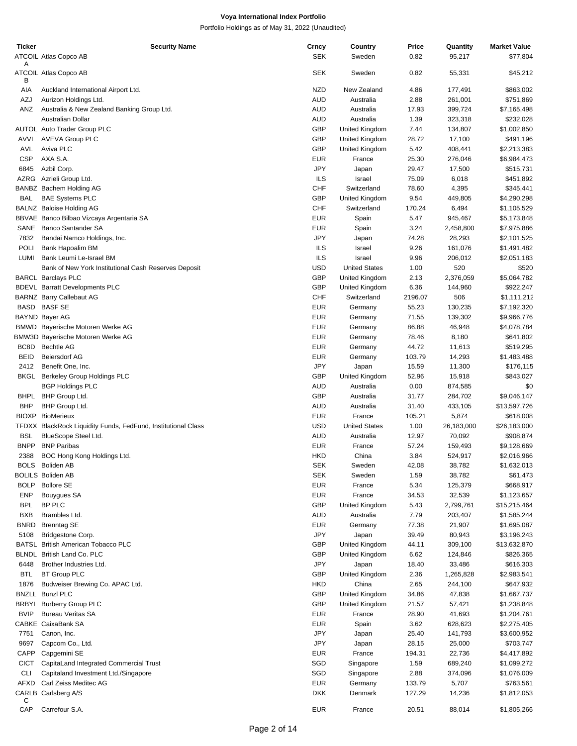| Ticker       | <b>Security Name</b>                                             | Crncy             | Country                 | Price          | Quantity          | <b>Market Value</b>    |
|--------------|------------------------------------------------------------------|-------------------|-------------------------|----------------|-------------------|------------------------|
|              | ATCOIL Atlas Copco AB                                            | <b>SEK</b>        | Sweden                  | 0.82           | 95,217            | \$77,804               |
| A<br>в       | ATCOIL Atlas Copco AB                                            | <b>SEK</b>        | Sweden                  | 0.82           | 55,331            | \$45,212               |
| AIA          | Auckland International Airport Ltd.                              | <b>NZD</b>        | New Zealand             | 4.86           | 177,491           | \$863,002              |
| AZJ          | Aurizon Holdings Ltd.                                            | <b>AUD</b>        | Australia               | 2.88           | 261,001           | \$751,869              |
| ANZ          | Australia & New Zealand Banking Group Ltd.                       | <b>AUD</b>        | Australia               | 17.93          | 399,724           | \$7,165,498            |
|              | Australian Dollar                                                | AUD               | Australia               | 1.39           | 323,318           | \$232,028              |
|              | AUTOL Auto Trader Group PLC                                      | <b>GBP</b>        | United Kingdom          | 7.44           | 134,807           | \$1,002,850            |
|              | AVVL AVEVA Group PLC                                             | <b>GBP</b>        | United Kingdom          | 28.72          | 17,100            | \$491,196              |
| AVL          | Aviva PLC                                                        | <b>GBP</b>        | United Kingdom          | 5.42           | 408,441           | \$2,213,383            |
| <b>CSP</b>   | AXA S.A.                                                         | <b>EUR</b>        | France                  | 25.30          | 276,046           | \$6,984,473            |
| 6845<br>AZRG | Azbil Corp.<br>Azrieli Group Ltd.                                | JPY<br><b>ILS</b> | Japan<br>Israel         | 29.47<br>75.09 | 17,500<br>6,018   | \$515,731<br>\$451,892 |
|              | BANBZ Bachem Holding AG                                          | CHF               | Switzerland             | 78.60          | 4,395             | \$345,441              |
| BAL          | <b>BAE Systems PLC</b>                                           | GBP               | United Kingdom          | 9.54           | 449,805           | \$4,290,298            |
|              | BALNZ Baloise Holding AG                                         | <b>CHF</b>        | Switzerland             | 170.24         | 6,494             | \$1,105,529            |
|              | BBVAE Banco Bilbao Vizcaya Argentaria SA                         | <b>EUR</b>        | Spain                   | 5.47           | 945,467           | \$5,173,848            |
|              | SANE Banco Santander SA                                          | <b>EUR</b>        | Spain                   | 3.24           | 2,458,800         | \$7,975,886            |
| 7832         | Bandai Namco Holdings, Inc.                                      | JPY               | Japan                   | 74.28          | 28,293            | \$2,101,525            |
| POLI         | Bank Hapoalim BM                                                 | ILS               | Israel                  | 9.26           | 161,076           | \$1,491,482            |
| LUMI         | Bank Leumi Le-Israel BM                                          | ILS               | Israel                  | 9.96           | 206,012           | \$2,051,183            |
|              | Bank of New York Institutional Cash Reserves Deposit             | <b>USD</b>        | <b>United States</b>    | 1.00           | 520               | \$520                  |
|              | <b>BARCL Barclays PLC</b>                                        | <b>GBP</b>        | United Kingdom          | 2.13           | 2,376,059         | \$5,064,782            |
|              | <b>BDEVL</b> Barratt Developments PLC                            | <b>GBP</b>        | United Kingdom          | 6.36           | 144,960           | \$922,247              |
|              | <b>BARNZ Barry Callebaut AG</b>                                  | <b>CHF</b>        | Switzerland             | 2196.07        | 506               | \$1,111,212            |
|              | BASD BASF SE                                                     | <b>EUR</b>        | Germany                 | 55.23          | 130,235           | \$7,192,320            |
|              | <b>BAYND Bayer AG</b>                                            | <b>EUR</b>        | Germany                 | 71.55          | 139,302           | \$9,966,776            |
|              | BMWD Bayerische Motoren Werke AG                                 | <b>EUR</b>        | Germany                 | 86.88          | 46,948            | \$4,078,784            |
|              | BMW3D Bayerische Motoren Werke AG                                | <b>EUR</b>        | Germany                 | 78.46          | 8,180             | \$641,802              |
| BC8D         | <b>Bechtle AG</b>                                                | <b>EUR</b>        | Germany                 | 44.72          | 11,613            | \$519,295              |
| <b>BEID</b>  | <b>Beiersdorf AG</b>                                             | <b>EUR</b>        | Germany                 | 103.79         | 14,293            | \$1,483,488            |
| 2412         | Benefit One, Inc.                                                | JPY<br><b>GBP</b> | Japan<br>United Kingdom | 15.59          | 11,300            | \$176,115              |
| BKGL         | <b>Berkeley Group Holdings PLC</b><br><b>BGP Holdings PLC</b>    | <b>AUD</b>        | Australia               | 52.96<br>0.00  | 15,918<br>874,585 | \$843,027<br>\$0       |
| BHPL         | BHP Group Ltd.                                                   | <b>GBP</b>        | Australia               | 31.77          | 284,702           | \$9,046,147            |
| <b>BHP</b>   | BHP Group Ltd.                                                   | AUD               | Australia               | 31.40          | 433,105           | \$13,597,726           |
|              | <b>BIOXP</b> BioMerieux                                          | <b>EUR</b>        | France                  | 105.21         | 5,874             | \$618,008              |
|              | TFDXX BlackRock Liquidity Funds, FedFund, Institutional Class    | <b>USD</b>        | <b>United States</b>    | 1.00           | 26,183,000        | \$26,183,000           |
| <b>BSL</b>   | BlueScope Steel Ltd.                                             | AUD               | Australia               | 12.97          | 70,092            | \$908,874              |
| <b>BNPP</b>  | <b>BNP Paribas</b>                                               | <b>EUR</b>        | France                  | 57.24          | 159,493           | \$9,128,669            |
| 2388         | BOC Hong Kong Holdings Ltd.                                      | <b>HKD</b>        | China                   | 3.84           | 524,917           | \$2,016,966            |
|              | BOLS Boliden AB                                                  | <b>SEK</b>        | Sweden                  | 42.08          | 38,782            | \$1,632,013            |
|              | <b>BOLILS Boliden AB</b>                                         | <b>SEK</b>        | Sweden                  | 1.59           | 38,782            | \$61,473               |
| <b>BOLP</b>  | <b>Bollore SE</b>                                                | <b>EUR</b>        | France                  | 5.34           | 125,379           | \$668,917              |
| <b>ENP</b>   | Bouygues SA                                                      | <b>EUR</b>        | France                  | 34.53          | 32,539            | \$1,123,657            |
| <b>BPL</b>   | BP PLC                                                           | <b>GBP</b>        | United Kingdom          | 5.43           | 2,799,761         | \$15,215,464           |
| <b>BXB</b>   | Brambles Ltd.                                                    | AUD               | Australia               | 7.79           | 203,407           | \$1,585,244            |
| BNRD         | <b>Brenntag SE</b>                                               | <b>EUR</b>        | Germany                 | 77.38          | 21,907            | \$1,695,087            |
| 5108         | Bridgestone Corp.                                                | JPY               | Japan                   | 39.49          | 80,943            | \$3,196,243            |
|              | BATSL British American Tobacco PLC<br>BLNDL British Land Co. PLC | <b>GBP</b><br>GBP | United Kingdom          | 44.11<br>6.62  | 309,100           | \$13,632,870           |
| 6448         | Brother Industries Ltd.                                          | JPY               | United Kingdom<br>Japan | 18.40          | 124,846<br>33,486 | \$826,365<br>\$616,303 |
| <b>BTL</b>   | <b>BT Group PLC</b>                                              | <b>GBP</b>        | United Kingdom          | 2.36           | 1,265,828         | \$2,983,541            |
| 1876         | Budweiser Brewing Co. APAC Ltd.                                  | <b>HKD</b>        | China                   | 2.65           | 244,100           | \$647,932              |
|              | <b>BNZLL Bunzl PLC</b>                                           | GBP               | United Kingdom          | 34.86          | 47,838            | \$1,667,737            |
|              | <b>BRBYL Burberry Group PLC</b>                                  | <b>GBP</b>        | United Kingdom          | 21.57          | 57,421            | \$1,238,848            |
| <b>BVIP</b>  | <b>Bureau Veritas SA</b>                                         | <b>EUR</b>        | France                  | 28.90          | 41,693            | \$1,204,761            |
|              | CABKE CaixaBank SA                                               | <b>EUR</b>        | Spain                   | 3.62           | 628,623           | \$2,275,405            |
| 7751         | Canon, Inc.                                                      | JPY               | Japan                   | 25.40          | 141,793           | \$3,600,952            |
| 9697         | Capcom Co., Ltd.                                                 | JPY               | Japan                   | 28.15          | 25,000            | \$703,747              |
| CAPP         | Capgemini SE                                                     | <b>EUR</b>        | France                  | 194.31         | 22,736            | \$4,417,892            |
| <b>CICT</b>  | CapitaLand Integrated Commercial Trust                           | SGD               | Singapore               | 1.59           | 689,240           | \$1,099,272            |
| CLI          | Capitaland Investment Ltd./Singapore                             | SGD               | Singapore               | 2.88           | 374,096           | \$1,076,009            |
| AFXD         | Carl Zeiss Meditec AG                                            | <b>EUR</b>        | Germany                 | 133.79         | 5,707             | \$763,561              |
|              | CARLB Carlsberg A/S                                              | <b>DKK</b>        | Denmark                 | 127.29         | 14,236            | \$1,812,053            |
| С<br>CAP     | Carrefour S.A.                                                   | EUR               | France                  | 20.51          | 88,014            | \$1,805,266            |
|              |                                                                  |                   |                         |                |                   |                        |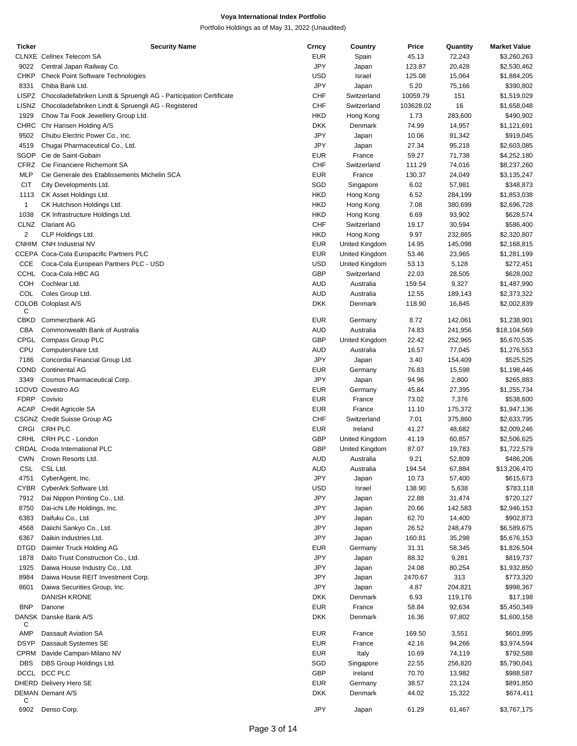| <b>Ticker</b>  | <b>Security Name</b>                                                     | Crncy      | Country        | Price     | Quantity | <b>Market Value</b> |
|----------------|--------------------------------------------------------------------------|------------|----------------|-----------|----------|---------------------|
|                | <b>CLNXE</b> Cellnex Telecom SA                                          | <b>EUR</b> | Spain          | 45.13     | 72,243   | \$3,260,263         |
| 9022           | Central Japan Railway Co.                                                | JPY        | Japan          | 123.87    | 20,428   | \$2,530,462         |
| CHKP           | <b>Check Point Software Technologies</b>                                 | <b>USD</b> | Israel         | 125.08    | 15,064   | \$1,884,205         |
|                |                                                                          |            |                |           |          |                     |
| 8331           | Chiba Bank Ltd.                                                          | JPY        | Japan          | 5.20      | 75,166   | \$390,802           |
|                | LISPZ Chocoladefabriken Lindt & Spruengli AG - Participation Certificate | <b>CHF</b> | Switzerland    | 10059.79  | 151      | \$1,519,029         |
|                | LISNZ Chocoladefabriken Lindt & Spruengli AG - Registered                | <b>CHF</b> | Switzerland    | 103628.02 | 16       | \$1,658,048         |
| 1929           | Chow Tai Fook Jewellery Group Ltd.                                       | <b>HKD</b> | Hong Kong      | 1.73      | 283,600  | \$490,902           |
|                | CHRC Chr Hansen Holding A/S                                              | <b>DKK</b> | Denmark        | 74.99     | 14,957   | \$1,121,691         |
| 9502           | Chubu Electric Power Co., Inc.                                           | JPY        | Japan          | 10.06     | 91,342   | \$919,045           |
| 4519           | Chugai Pharmaceutical Co., Ltd.                                          | JPY        | Japan          | 27.34     | 95,218   | \$2,603,085         |
|                |                                                                          |            |                |           |          |                     |
| SGOP           | Cie de Saint-Gobain                                                      | <b>EUR</b> | France         | 59.27     | 71,738   | \$4,252,180         |
|                | CFRZ Cie Financiere Richemont SA                                         | <b>CHF</b> | Switzerland    | 111.29    | 74,016   | \$8,237,260         |
| <b>MLP</b>     | Cie Generale des Etablissements Michelin SCA                             | <b>EUR</b> | France         | 130.37    | 24,049   | \$3,135,247         |
| <b>CIT</b>     | City Developments Ltd.                                                   | SGD        | Singapore      | 6.02      | 57,981   | \$348,873           |
| 1113           | CK Asset Holdings Ltd.                                                   | <b>HKD</b> | Hong Kong      | 6.52      | 284,199  | \$1,853,038         |
| $\overline{1}$ | CK Hutchison Holdings Ltd.                                               | <b>HKD</b> | Hong Kong      | 7.08      | 380,699  | \$2,696,728         |
|                |                                                                          |            |                |           |          |                     |
| 1038           | CK Infrastructure Holdings Ltd.                                          | <b>HKD</b> | Hong Kong      | 6.69      | 93,902   | \$628,574           |
|                | CLNZ Clariant AG                                                         | <b>CHF</b> | Switzerland    | 19.17     | 30,594   | \$586,400           |
| 2              | CLP Holdings Ltd.                                                        | <b>HKD</b> | Hong Kong      | 9.97      | 232,865  | \$2,320,807         |
|                | CNHIM CNH Industrial NV                                                  | <b>EUR</b> | United Kingdom | 14.95     | 145,098  | \$2,168,815         |
|                | CCEPA Coca-Cola Europacific Partners PLC                                 | <b>EUR</b> | United Kingdom | 53.46     | 23,965   | \$1,281,199         |
| CCE            | Coca-Cola European Partners PLC - USD                                    | <b>USD</b> | United Kingdom | 53.13     | 5,128    | \$272,451           |
|                |                                                                          |            |                |           |          |                     |
| <b>CCHL</b>    | Coca-Cola HBC AG                                                         | <b>GBP</b> | Switzerland    | 22.03     | 28,505   | \$628,002           |
| COH            | Cochlear Ltd.                                                            | AUD        | Australia      | 159.54    | 9,327    | \$1,487,990         |
| COL            | Coles Group Ltd.                                                         | <b>AUD</b> | Australia      | 12.55     | 189,143  | \$2,373,322         |
|                | <b>COLOB Coloplast A/S</b>                                               | <b>DKK</b> | Denmark        | 118.90    | 16,845   | \$2,002,839         |
| С              |                                                                          |            |                |           |          |                     |
| CBKD           | Commerzbank AG                                                           | <b>EUR</b> | Germany        | 8.72      | 142,061  | \$1,238,901         |
| CBA            | Commonwealth Bank of Australia                                           | AUD        | Australia      | 74.83     | 241,956  | \$18,104,569        |
|                | CPGL Compass Group PLC                                                   | <b>GBP</b> | United Kingdom | 22.42     | 252,965  | \$5,670,535         |
|                |                                                                          |            |                |           |          |                     |
| CPU            | Computershare Ltd.                                                       | AUD        | Australia      | 16.57     | 77,045   | \$1,276,553         |
| 7186           | Concordia Financial Group Ltd.                                           | JPY        | Japan          | 3.40      | 154,409  | \$525,525           |
| COND           | <b>Continental AG</b>                                                    | <b>EUR</b> | Germany        | 76.83     | 15,598   | \$1,198,446         |
| 3349           | Cosmos Pharmaceutical Corp.                                              | JPY        | Japan          | 94.96     | 2,800    | \$265,883           |
|                | 1COVD Covestro AG                                                        | <b>EUR</b> | Germany        | 45.84     | 27,395   | \$1,255,734         |
| <b>FDRP</b>    | Covivio                                                                  | <b>EUR</b> | France         | 73.02     | 7,376    | \$538,600           |
| ACAP           |                                                                          | <b>EUR</b> | France         | 11.10     | 175,372  | \$1,947,136         |
|                | Credit Agricole SA                                                       |            |                |           |          |                     |
|                | CSGNZ Credit Suisse Group AG                                             | <b>CHF</b> | Switzerland    | 7.01      | 375,860  | \$2,633,795         |
|                | CRGI CRH PLC                                                             | <b>EUR</b> | Ireland        | 41.27     | 48,682   | \$2,009,246         |
|                | CRHL CRH PLC - London                                                    | GBP        | United Kingdom | 41.19     | 60,857   | \$2,506,625         |
|                | CRDAL Croda International PLC                                            | <b>GBP</b> | United Kingdom | 87.07     | 19,783   | \$1,722,579         |
|                | CWN Crown Resorts Ltd.                                                   | AUD        | Australia      | 9.21      | 52,809   | \$486,206           |
| CSL            | CSL Ltd.                                                                 | AUD        | Australia      | 194.54    |          |                     |
|                |                                                                          |            |                |           | 67,884   | \$13,206,470        |
| 4751           | CyberAgent, Inc.                                                         | JPY        | Japan          | 10.73     | 57,400   | \$615,673           |
| CYBR           | CyberArk Software Ltd.                                                   | <b>USD</b> | Israel         | 138.90    | 5,638    | \$783,118           |
| 7912           | Dai Nippon Printing Co., Ltd.                                            | JPY        | Japan          | 22.88     | 31,474   | \$720,127           |
| 8750           | Dai-ichi Life Holdings, Inc.                                             | JPY        | Japan          | 20.66     | 142,583  | \$2,946,153         |
| 6383           | Daifuku Co., Ltd.                                                        | JPY        | Japan          | 62.70     | 14,400   | \$902,873           |
| 4568           | Daiichi Sankyo Co., Ltd.                                                 | JPY        | Japan          | 26.52     | 248,479  | \$6,589,675         |
|                |                                                                          |            |                |           |          |                     |
| 6367           | Daikin Industries Ltd.                                                   | JPY        | Japan          | 160.81    | 35,298   | \$5,676,153         |
| DTGD           | Daimler Truck Holding AG                                                 | <b>EUR</b> | Germany        | 31.31     | 58,345   | \$1,826,504         |
| 1878           | Daito Trust Construction Co., Ltd.                                       | JPY        | Japan          | 88.32     | 9,281    | \$819,737           |
| 1925           | Daiwa House Industry Co., Ltd.                                           | JPY        | Japan          | 24.08     | 80,254   | \$1,932,850         |
| 8984           | Daiwa House REIT Investment Corp.                                        | JPY        | Japan          | 2470.67   | 313      | \$773,320           |
| 8601           | Daiwa Securities Group, Inc.                                             | JPY        | Japan          | 4.87      | 204,821  | \$998,367           |
|                | <b>DANISH KRONE</b>                                                      | <b>DKK</b> | Denmark        |           |          |                     |
|                |                                                                          |            |                | 6.93      | 119,176  | \$17,198            |
| <b>BNP</b>     | Danone                                                                   | <b>EUR</b> | France         | 58.84     | 92,634   | \$5,450,349         |
|                | DANSK Danske Bank A/S                                                    | <b>DKK</b> | Denmark        | 16.36     | 97,802   | \$1,600,158         |
| C              |                                                                          |            |                |           |          |                     |
| <b>AMP</b>     | Dassault Aviation SA                                                     | <b>EUR</b> | France         | 169.50    | 3,551    | \$601,895           |
| <b>DSYP</b>    | Dassault Systemes SE                                                     | <b>EUR</b> | France         | 42.16     | 94,266   | \$3,974,594         |
| CPRM           | Davide Campari-Milano NV                                                 | <b>EUR</b> | Italy          | 10.69     | 74,119   | \$792,588           |
| <b>DBS</b>     | DBS Group Holdings Ltd.                                                  | SGD        | Singapore      | 22.55     | 256,820  | \$5,790,041         |
|                | DCCL DCC PLC                                                             | <b>GBP</b> | Ireland        | 70.70     | 13,982   | \$988,587           |
|                |                                                                          |            |                |           |          |                     |
|                | DHERD Delivery Hero SE                                                   | <b>EUR</b> | Germany        | 38.57     | 23,124   | \$891,850           |
|                | DEMAN Demant A/S                                                         | <b>DKK</b> | Denmark        | 44.02     | 15,322   | \$674,411           |
| С              |                                                                          |            |                |           |          |                     |
| 6902           | Denso Corp.                                                              | JPY        | Japan          | 61.29     | 61,467   | \$3,767,175         |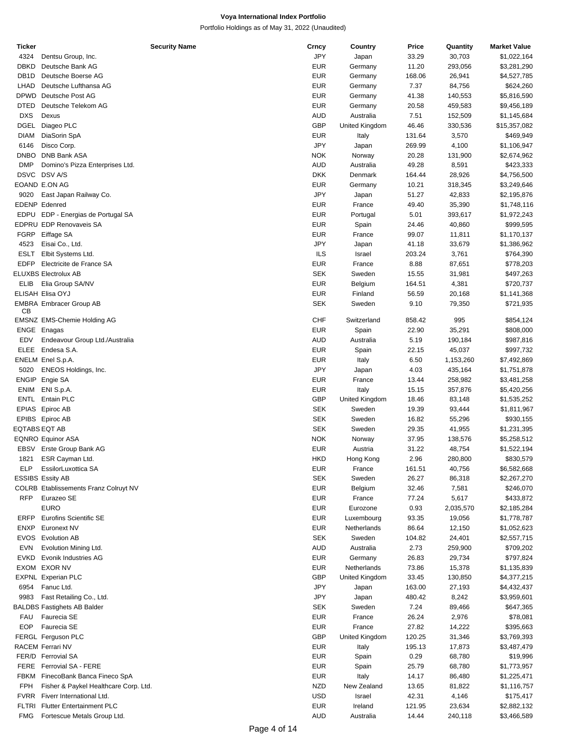| Ticker            |                                              | <b>Security Name</b> | Crncy      | Country        | Price  | Quantity  | <b>Market Value</b> |
|-------------------|----------------------------------------------|----------------------|------------|----------------|--------|-----------|---------------------|
| 4324              | Dentsu Group, Inc.                           |                      | JPY        | Japan          | 33.29  | 30,703    | \$1,022,164         |
| <b>DBKD</b>       | Deutsche Bank AG                             |                      | <b>EUR</b> | Germany        | 11.20  | 293,056   | \$3,281,290         |
| DB <sub>1</sub> D | Deutsche Boerse AG                           |                      | <b>EUR</b> | Germany        | 168.06 | 26,941    | \$4,527,785         |
| LHAD              | Deutsche Lufthansa AG                        |                      | <b>EUR</b> | Germany        | 7.37   | 84,756    | \$624,260           |
| <b>DPWD</b>       | Deutsche Post AG                             |                      | <b>EUR</b> | Germany        | 41.38  | 140,553   | \$5,816,590         |
| <b>DTED</b>       | Deutsche Telekom AG                          |                      | <b>EUR</b> | Germany        | 20.58  | 459,583   | \$9,456,189         |
| <b>DXS</b>        | Dexus                                        |                      | <b>AUD</b> | Australia      |        |           |                     |
|                   |                                              |                      |            |                | 7.51   | 152,509   | \$1,145,684         |
| DGEL              | Diageo PLC                                   |                      | <b>GBP</b> | United Kingdom | 46.46  | 330,536   | \$15,357,082        |
| <b>DIAM</b>       | DiaSorin SpA                                 |                      | <b>EUR</b> | Italy          | 131.64 | 3,570     | \$469,949           |
| 6146              | Disco Corp.                                  |                      | JPY        | Japan          | 269.99 | 4,100     | \$1,106,947         |
| DNBO              | DNB Bank ASA                                 |                      | <b>NOK</b> | Norway         | 20.28  | 131,900   | \$2,674,962         |
| <b>DMP</b>        | Domino's Pizza Enterprises Ltd.              |                      | <b>AUD</b> | Australia      | 49.28  | 8,591     | \$423,333           |
|                   | DSVC DSV A/S                                 |                      | <b>DKK</b> | Denmark        | 164.44 | 28,926    | \$4,756,500         |
|                   | EOAND E.ON AG                                |                      | <b>EUR</b> | Germany        | 10.21  | 318,345   | \$3,249,646         |
| 9020              | East Japan Railway Co.                       |                      | JPY        | Japan          | 51.27  | 42,833    | \$2,195,876         |
|                   | <b>EDENP</b> Edenred                         |                      | <b>EUR</b> | France         | 49.40  | 35,390    | \$1,748,116         |
|                   |                                              |                      |            |                |        |           |                     |
| EDPU              | EDP - Energias de Portugal SA                |                      | <b>EUR</b> | Portugal       | 5.01   | 393,617   | \$1,972,243         |
|                   | <b>EDPRU EDP Renovaveis SA</b>               |                      | <b>EUR</b> | Spain          | 24.46  | 40,860    | \$999,595           |
| <b>FGRP</b>       | Eiffage SA                                   |                      | <b>EUR</b> | France         | 99.07  | 11,811    | \$1,170,137         |
| 4523              | Eisai Co., Ltd.                              |                      | JPY        | Japan          | 41.18  | 33,679    | \$1,386,962         |
| <b>ESLT</b>       | Elbit Systems Ltd.                           |                      | ILS        | Israel         | 203.24 | 3,761     | \$764,390           |
| EDFP              | Electricite de France SA                     |                      | <b>EUR</b> | France         | 8.88   | 87,651    | \$778,203           |
|                   | <b>ELUXBS Electrolux AB</b>                  |                      | <b>SEK</b> | Sweden         | 15.55  | 31,981    | \$497,263           |
| ELIB              | Elia Group SA/NV                             |                      | <b>EUR</b> | Belgium        | 164.51 | 4,381     | \$720,737           |
|                   | ELISAH Elisa OYJ                             |                      | <b>EUR</b> |                | 56.59  |           |                     |
|                   |                                              |                      |            | Finland        |        | 20,168    | \$1,141,368         |
| CВ                | <b>EMBRA Embracer Group AB</b>               |                      | <b>SEK</b> | Sweden         | 9.10   | 79,350    | \$721,935           |
|                   |                                              |                      | <b>CHF</b> | Switzerland    | 858.42 | 995       | \$854,124           |
|                   | EMSNZ EMS-Chemie Holding AG                  |                      |            |                |        |           |                     |
|                   | ENGE Enagas                                  |                      | <b>EUR</b> | Spain          | 22.90  | 35,291    | \$808,000           |
| EDV               | Endeavour Group Ltd./Australia               |                      | <b>AUD</b> | Australia      | 5.19   | 190,184   | \$987,816           |
| <b>ELEE</b>       | Endesa S.A.                                  |                      | <b>EUR</b> | Spain          | 22.15  | 45,037    | \$997,732           |
|                   | ENELM Enel S.p.A.                            |                      | <b>EUR</b> | Italy          | 6.50   | 1,153,260 | \$7,492,869         |
| 5020              | ENEOS Holdings, Inc.                         |                      | JPY        | Japan          | 4.03   | 435,164   | \$1,751,878         |
|                   | ENGIP Engie SA                               |                      | <b>EUR</b> | France         | 13.44  | 258,982   | \$3,481,258         |
| <b>ENIM</b>       | ENI S.p.A.                                   |                      | <b>EUR</b> | Italy          | 15.15  | 357,876   | \$5,420,256         |
|                   | ENTL Entain PLC                              |                      | <b>GBP</b> | United Kingdom | 18.46  | 83,148    | \$1,535,252         |
|                   | EPIAS Epiroc AB                              |                      | <b>SEK</b> | Sweden         | 19.39  | 93,444    | \$1,811,967         |
|                   |                                              |                      | <b>SEK</b> | Sweden         |        |           |                     |
|                   | EPIBS Epiroc AB                              |                      |            |                | 16.82  | 55,296    | \$930,155           |
|                   | EQTABS EQT AB                                |                      | <b>SEK</b> | Sweden         | 29.35  | 41,955    | \$1,231,395         |
|                   | <b>EQNRO Equinor ASA</b>                     |                      | <b>NOK</b> | Norway         | 37.95  | 138,576   | \$5,258,512         |
| EBSV              | Erste Group Bank AG                          |                      | <b>EUR</b> | Austria        | 31.22  | 48,754    | \$1,522,194         |
| 1821              | ESR Cayman Ltd.                              |                      | <b>HKD</b> | Hong Kong      | 2.96   | 280,800   | \$830,579           |
| ELP               | EssilorLuxottica SA                          |                      | EUR        | France         | 161.51 | 40,756    | \$6,582,668         |
|                   | <b>ESSIBS Essity AB</b>                      |                      | <b>SEK</b> | Sweden         | 26.27  | 86,318    | \$2,267,270         |
|                   | <b>COLRB</b> Etablissements Franz Colruyt NV |                      | <b>EUR</b> | Belgium        | 32.46  | 7,581     | \$246,070           |
| <b>RFP</b>        | Eurazeo SE                                   |                      | <b>EUR</b> | France         | 77.24  | 5,617     | \$433,872           |
|                   | <b>EURO</b>                                  |                      | <b>EUR</b> | Eurozone       | 0.93   | 2,035,570 | \$2,185,284         |
|                   | <b>Eurofins Scientific SE</b>                |                      |            | Luxembourg     |        |           |                     |
| ERFP              |                                              |                      | <b>EUR</b> |                | 93.35  | 19,056    | \$1,778,787         |
| <b>ENXP</b>       | Euronext NV                                  |                      | <b>EUR</b> | Netherlands    | 86.64  | 12,150    | \$1,052,623         |
| EVOS              | <b>Evolution AB</b>                          |                      | SEK        | Sweden         | 104.82 | 24,401    | \$2,557,715         |
| <b>EVN</b>        | Evolution Mining Ltd.                        |                      | <b>AUD</b> | Australia      | 2.73   | 259,900   | \$709,202           |
| <b>EVKD</b>       | Evonik Industries AG                         |                      | <b>EUR</b> | Germany        | 26.83  | 29,734    | \$797,824           |
|                   | EXOM EXOR NV                                 |                      | <b>EUR</b> | Netherlands    | 73.86  | 15,378    | \$1,135,839         |
|                   | <b>EXPNL Experian PLC</b>                    |                      | <b>GBP</b> | United Kingdom | 33.45  | 130,850   | \$4,377,215         |
| 6954              | Fanuc Ltd.                                   |                      | JPY        | Japan          | 163.00 | 27,193    | \$4,432,437         |
| 9983              | Fast Retailing Co., Ltd.                     |                      | JPY        | Japan          | 480.42 | 8,242     | \$3,959,601         |
|                   |                                              |                      |            |                |        |           |                     |
|                   | <b>BALDBS Fastighets AB Balder</b>           |                      | <b>SEK</b> | Sweden         | 7.24   | 89,466    | \$647,365           |
| FAU               | Faurecia SE                                  |                      | <b>EUR</b> | France         | 26.24  | 2,976     | \$78,081            |
| <b>EOP</b>        | Faurecia SE                                  |                      | <b>EUR</b> | France         | 27.82  | 14,222    | \$395,663           |
|                   | FERGL Ferguson PLC                           |                      | <b>GBP</b> | United Kingdom | 120.25 | 31,346    | \$3,769,393         |
|                   | RACEM Ferrari NV                             |                      | <b>EUR</b> | Italy          | 195.13 | 17,873    | \$3,487,479         |
|                   | FER/D Ferrovial SA                           |                      | <b>EUR</b> | Spain          | 0.29   | 68,780    | \$19,996            |
|                   | FERE Ferrovial SA - FERE                     |                      | <b>EUR</b> | Spain          | 25.79  | 68,780    | \$1,773,957         |
| <b>FBKM</b>       | FinecoBank Banca Fineco SpA                  |                      | <b>EUR</b> | Italy          | 14.17  | 86,480    | \$1,225,471         |
| <b>FPH</b>        | Fisher & Paykel Healthcare Corp. Ltd.        |                      | <b>NZD</b> | New Zealand    | 13.65  | 81,822    | \$1,116,757         |
|                   | FVRR Fiverr International Ltd.               |                      | <b>USD</b> |                | 42.31  |           |                     |
|                   |                                              |                      |            | Israel         |        | 4,146     | \$175,417           |
|                   | FLTRI Flutter Entertainment PLC              |                      | <b>EUR</b> | Ireland        | 121.95 | 23,634    | \$2,882,132         |
| <b>FMG</b>        | Fortescue Metals Group Ltd.                  |                      | <b>AUD</b> | Australia      | 14.44  | 240,118   | \$3,466,589         |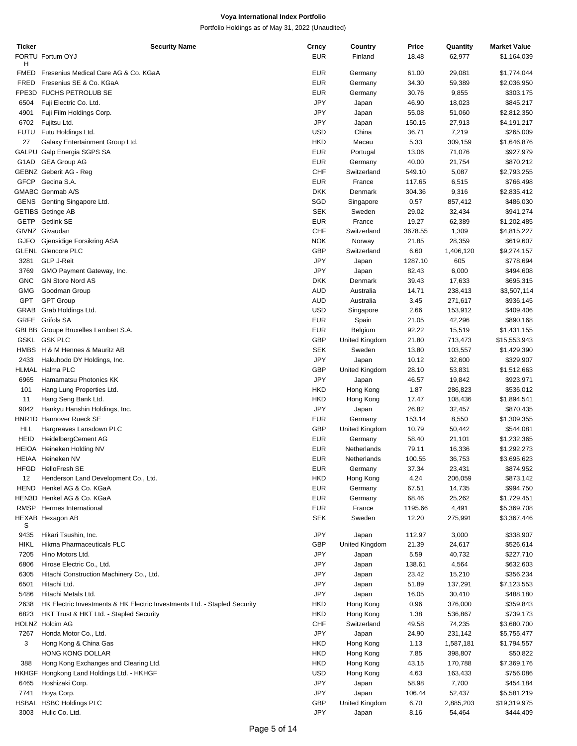| Ticker      | <b>Security Name</b>                                                      | Crncy      | Country        | Price   | Quantity  | <b>Market Value</b> |
|-------------|---------------------------------------------------------------------------|------------|----------------|---------|-----------|---------------------|
|             | FORTU Fortum OYJ                                                          | EUR        | Finland        | 18.48   | 62,977    | \$1,164,039         |
| н           |                                                                           |            |                |         |           |                     |
| <b>FMED</b> | Fresenius Medical Care AG & Co. KGaA                                      | <b>EUR</b> | Germany        | 61.00   | 29,081    | \$1,774,044         |
| <b>FRED</b> | Fresenius SE & Co. KGaA                                                   | <b>EUR</b> | Germany        | 34.30   | 59,389    | \$2,036,950         |
|             | FPE3D FUCHS PETROLUB SE                                                   | <b>EUR</b> | Germany        | 30.76   | 9,855     | \$303,175           |
| 6504        | Fuji Electric Co. Ltd.                                                    | JPY        | Japan          | 46.90   | 18,023    | \$845,217           |
| 4901        | Fuji Film Holdings Corp.                                                  | JPY        | Japan          | 55.08   | 51,060    | \$2,812,350         |
| 6702        | Fujitsu Ltd.                                                              | JPY        | Japan          | 150.15  | 27,913    | \$4,191,217         |
| <b>FUTU</b> | Futu Holdings Ltd.                                                        | <b>USD</b> | China          | 36.71   | 7,219     | \$265,009           |
| 27          | Galaxy Entertainment Group Ltd.                                           | <b>HKD</b> | Macau          | 5.33    | 309,159   | \$1,646,876         |
|             | GALPU Galp Energia SGPS SA                                                | <b>EUR</b> | Portugal       | 13.06   | 71,076    | \$927,979           |
| G1AD        | <b>GEA Group AG</b>                                                       | <b>EUR</b> | Germany        | 40.00   | 21,754    | \$870,212           |
|             | <b>GEBNZ</b> Geberit AG - Reg                                             | <b>CHF</b> | Switzerland    | 549.10  | 5,087     | \$2,793,255         |
| <b>GFCP</b> | Gecina S.A.                                                               | EUR        | France         | 117.65  | 6,515     | \$766,498           |
|             | GMABC Genmab A/S                                                          | <b>DKK</b> | Denmark        | 304.36  | 9,316     | \$2,835,412         |
|             | GENS Genting Singapore Ltd.                                               | SGD        | Singapore      | 0.57    | 857,412   | \$486,030           |
|             | <b>GETIBS</b> Getinge AB                                                  | <b>SEK</b> | Sweden         | 29.02   | 32,434    | \$941,274           |
|             | GETP Getlink SE                                                           | <b>EUR</b> | France         | 19.27   | 62,389    | \$1,202,485         |
|             | GIVNZ Givaudan                                                            | <b>CHF</b> | Switzerland    | 3678.55 | 1,309     | \$4,815,227         |
| <b>GJFO</b> | Gjensidige Forsikring ASA                                                 | <b>NOK</b> | Norway         | 21.85   | 28,359    | \$619,607           |
|             | <b>GLENL</b> Glencore PLC                                                 | <b>GBP</b> |                |         |           |                     |
|             |                                                                           |            | Switzerland    | 6.60    | 1,406,120 | \$9,274,157         |
| 3281        | <b>GLP J-Reit</b>                                                         | JPY        | Japan          | 1287.10 | 605       | \$778,694           |
| 3769        | GMO Payment Gateway, Inc.                                                 | JPY        | Japan          | 82.43   | 6,000     | \$494,608           |
| <b>GNC</b>  | <b>GN Store Nord AS</b>                                                   | <b>DKK</b> | Denmark        | 39.43   | 17,633    | \$695,315           |
| <b>GMG</b>  | Goodman Group                                                             | <b>AUD</b> | Australia      | 14.71   | 238,413   | \$3,507,114         |
| GPT         | <b>GPT Group</b>                                                          | AUD        | Australia      | 3.45    | 271,617   | \$936,145           |
| GRAB        | Grab Holdings Ltd.                                                        | <b>USD</b> | Singapore      | 2.66    | 153,912   | \$409,406           |
| <b>GRFE</b> | Grifols SA                                                                | <b>EUR</b> | Spain          | 21.05   | 42,296    | \$890,168           |
|             | GBLBB Groupe Bruxelles Lambert S.A.                                       | <b>EUR</b> | Belgium        | 92.22   | 15,519    | \$1,431,155         |
|             | <b>GSKL GSK PLC</b>                                                       | <b>GBP</b> | United Kingdom | 21.80   | 713,473   | \$15,553,943        |
|             | HMBS H & M Hennes & Mauritz AB                                            | <b>SEK</b> | Sweden         | 13.80   | 103,557   | \$1,429,390         |
| 2433        | Hakuhodo DY Holdings, Inc.                                                | JPY        | Japan          | 10.12   | 32,600    | \$329,907           |
|             | HLMAL Halma PLC                                                           | <b>GBP</b> | United Kingdom | 28.10   | 53,831    | \$1,512,663         |
| 6965        | Hamamatsu Photonics KK                                                    | JPY        | Japan          | 46.57   | 19,842    | \$923,971           |
| 101         | Hang Lung Properties Ltd.                                                 | <b>HKD</b> | Hong Kong      | 1.87    | 286,823   | \$536,012           |
| 11          | Hang Seng Bank Ltd.                                                       | <b>HKD</b> | Hong Kong      | 17.47   | 108,436   | \$1,894,541         |
| 9042        | Hankyu Hanshin Holdings, Inc.                                             | JPY        | Japan          | 26.82   | 32,457    | \$870,435           |
|             | HNR1D Hannover Rueck SE                                                   | EUR        | Germany        | 153.14  | 8,550     | \$1,309,355         |
| HLL         | Hargreaves Lansdown PLC                                                   | <b>GBP</b> | United Kingdom | 10.79   | 50,442    | \$544,081           |
| <b>HEID</b> | HeidelbergCement AG                                                       | EUR        | Germany        | 58.40   | 21,101    | \$1,232,365         |
|             | HEIOA Heineken Holding NV                                                 | EUR        | Netherlands    | 79.11   | 16,336    | \$1,292,273         |
|             | <b>HEIAA</b> Heineken NV                                                  | EUR        | Netherlands    | 100.55  | 36,753    | \$3,695,623         |
| HFGD        | <b>HelloFresh SE</b>                                                      | EUR        | Germany        | 37.34   | 23,431    | \$874,952           |
| 12          | Henderson Land Development Co., Ltd.                                      | HKD        | Hong Kong      | 4.24    | 206,059   | \$873,142           |
| <b>HEND</b> | Henkel AG & Co. KGaA                                                      | <b>EUR</b> | Germany        | 67.51   | 14,735    | \$994,750           |
|             | HEN3D Henkel AG & Co. KGaA                                                | <b>EUR</b> | Germany        | 68.46   | 25,262    | \$1,729,451         |
| RMSP        | Hermes International                                                      | <b>EUR</b> | France         | 1195.66 | 4,491     | \$5,369,708         |
|             | HEXAB Hexagon AB                                                          | <b>SEK</b> | Sweden         | 12.20   | 275,991   | \$3,367,446         |
| S           |                                                                           |            |                |         |           |                     |
| 9435        | Hikari Tsushin, Inc.                                                      | JPY        | Japan          | 112.97  | 3,000     | \$338,907           |
| <b>HIKL</b> | Hikma Pharmaceuticals PLC                                                 | <b>GBP</b> | United Kingdom | 21.39   | 24,617    | \$526,614           |
| 7205        | Hino Motors Ltd.                                                          | JPY        | Japan          | 5.59    | 40,732    | \$227,710           |
| 6806        | Hirose Electric Co., Ltd.                                                 | JPY        | Japan          | 138.61  | 4,564     | \$632,603           |
| 6305        | Hitachi Construction Machinery Co., Ltd.                                  | JPY        | Japan          | 23.42   | 15,210    | \$356,234           |
| 6501        | Hitachi Ltd.                                                              | JPY        | Japan          | 51.89   | 137,291   | \$7,123,553         |
| 5486        | Hitachi Metals Ltd.                                                       | JPY        | Japan          | 16.05   | 30,410    | \$488,180           |
| 2638        | HK Electric Investments & HK Electric Investments Ltd. - Stapled Security | HKD        | Hong Kong      | 0.96    | 376,000   | \$359,843           |
| 6823        | HKT Trust & HKT Ltd. - Stapled Security                                   | HKD        | Hong Kong      | 1.38    | 536,867   | \$739,173           |
|             | HOLNZ Holcim AG                                                           | CHF        | Switzerland    | 49.58   |           |                     |
|             |                                                                           |            |                |         | 74,235    | \$3,680,700         |
| 7267        | Honda Motor Co., Ltd.                                                     | JPY        | Japan          | 24.90   | 231,142   | \$5,755,477         |
| 3           | Hong Kong & China Gas                                                     | HKD        | Hong Kong      | 1.13    | 1,587,181 | \$1,794,557         |
|             | HONG KONG DOLLAR                                                          | HKD        | Hong Kong      | 7.85    | 398,807   | \$50,822            |
| 388         | Hong Kong Exchanges and Clearing Ltd.                                     | HKD        | Hong Kong      | 43.15   | 170,788   | \$7,369,176         |
|             | HKHGF Hongkong Land Holdings Ltd. - HKHGF                                 | USD        | Hong Kong      | 4.63    | 163,433   | \$756,086           |
| 6465        | Hoshizaki Corp.                                                           | JPY        | Japan          | 58.98   | 7,700     | \$454,184           |
| 7741        | Hoya Corp.                                                                | JPY        | Japan          | 106.44  | 52,437    | \$5,581,219         |
|             | HSBAL HSBC Holdings PLC                                                   | GBP        | United Kingdom | 6.70    | 2,885,203 | \$19,319,975        |
| 3003        | Hulic Co. Ltd.                                                            | JPY        | Japan          | 8.16    | 54,464    | \$444,409           |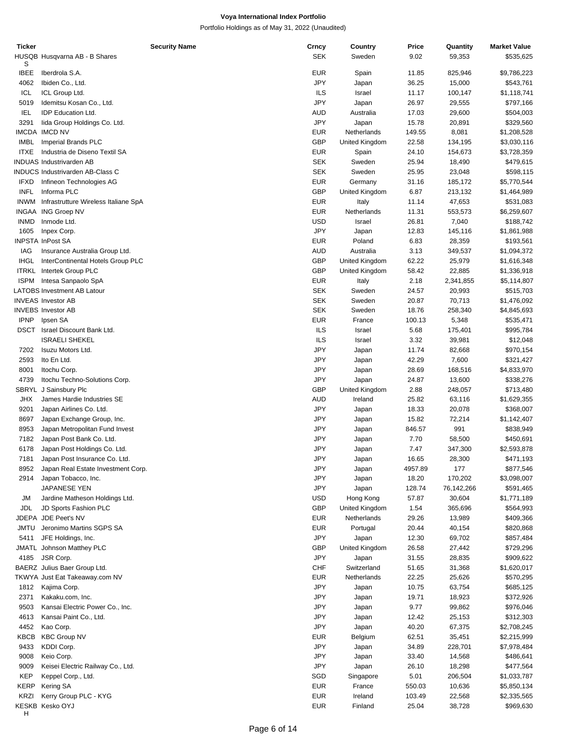| <b>Ticker</b> |                                         | <b>Security Name</b> | Crncy      | Country        | Price   | Quantity   | <b>Market Value</b> |
|---------------|-----------------------------------------|----------------------|------------|----------------|---------|------------|---------------------|
|               | HUSQB Husqvarna AB - B Shares           |                      | <b>SEK</b> | Sweden         | 9.02    | 59,353     | \$535,625           |
| S             |                                         |                      |            |                |         |            |                     |
| <b>IBEE</b>   | Iberdrola S.A.                          |                      | <b>EUR</b> | Spain          | 11.85   | 825,946    | \$9,786,223         |
| 4062          | Ibiden Co., Ltd.                        |                      | <b>JPY</b> | Japan          | 36.25   | 15,000     | \$543,761           |
| ICL           | ICL Group Ltd.                          |                      | ILS        | Israel         | 11.17   | 100,147    | \$1,118,741         |
| 5019          | Idemitsu Kosan Co., Ltd.                |                      | <b>JPY</b> | Japan          | 26.97   | 29,555     | \$797,166           |
|               |                                         |                      |            |                |         |            |                     |
| <b>IEL</b>    | <b>IDP Education Ltd.</b>               |                      | AUD        | Australia      | 17.03   | 29,600     | \$504,003           |
| 3291          | lida Group Holdings Co. Ltd.            |                      | <b>JPY</b> | Japan          | 15.78   | 20,891     | \$329,560           |
|               | IMCDA IMCD NV                           |                      | <b>EUR</b> | Netherlands    | 149.55  | 8,081      | \$1,208,528         |
| <b>IMBL</b>   | Imperial Brands PLC                     |                      | <b>GBP</b> | United Kingdom | 22.58   | 134,195    | \$3,030,116         |
| <b>ITXE</b>   | Industria de Diseno Textil SA           |                      | <b>EUR</b> | Spain          | 24.10   | 154,673    | \$3,728,359         |
|               | <b>INDUAS Industrivarden AB</b>         |                      | <b>SEK</b> | Sweden         | 25.94   | 18,490     | \$479,615           |
|               | <b>INDUCS Industrivarden AB-Class C</b> |                      | <b>SEK</b> | Sweden         | 25.95   | 23,048     | \$598,115           |
|               |                                         |                      |            |                |         |            |                     |
| <b>IFXD</b>   | Infineon Technologies AG                |                      | <b>EUR</b> | Germany        | 31.16   | 185,172    | \$5,770,544         |
| <b>INFL</b>   | Informa PLC                             |                      | <b>GBP</b> | United Kingdom | 6.87    | 213,132    | \$1,464,989         |
| <b>INWM</b>   | Infrastrutture Wireless Italiane SpA    |                      | <b>EUR</b> | Italy          | 11.14   | 47,653     | \$531,083           |
|               | INGAA ING Groep NV                      |                      | <b>EUR</b> | Netherlands    | 11.31   | 553,573    | \$6,259,607         |
| <b>INMD</b>   | Inmode Ltd.                             |                      | <b>USD</b> | Israel         | 26.81   | 7,040      | \$188,742           |
| 1605          | Inpex Corp.                             |                      | <b>JPY</b> | Japan          | 12.83   | 145,116    | \$1,861,988         |
|               | INPSTA InPost SA                        |                      | <b>EUR</b> | Poland         | 6.83    | 28,359     | \$193,561           |
|               |                                         |                      |            |                |         |            |                     |
| IAG           | Insurance Australia Group Ltd.          |                      | <b>AUD</b> | Australia      | 3.13    | 349,537    | \$1,094,372         |
| <b>IHGL</b>   | InterContinental Hotels Group PLC       |                      | <b>GBP</b> | United Kingdom | 62.22   | 25,979     | \$1,616,348         |
| <b>ITRKL</b>  | Intertek Group PLC                      |                      | <b>GBP</b> | United Kingdom | 58.42   | 22,885     | \$1,336,918         |
| <b>ISPM</b>   | Intesa Sanpaolo SpA                     |                      | <b>EUR</b> | Italy          | 2.18    | 2,341,855  | \$5,114,807         |
|               | <b>LATOBS Investment AB Latour</b>      |                      | <b>SEK</b> | Sweden         | 24.57   | 20,993     | \$515,703           |
|               | <b>INVEAS Investor AB</b>               |                      | <b>SEK</b> | Sweden         | 20.87   | 70,713     | \$1,476,092         |
|               |                                         |                      |            |                |         |            |                     |
|               | <b>INVEBS Investor AB</b>               |                      | <b>SEK</b> | Sweden         | 18.76   | 258,340    | \$4,845,693         |
| <b>IPNP</b>   | Ipsen SA                                |                      | <b>EUR</b> | France         | 100.13  | 5,348      | \$535,471           |
| <b>DSCT</b>   | Israel Discount Bank Ltd.               |                      | ILS        | Israel         | 5.68    | 175,401    | \$995,784           |
|               | <b>ISRAELI SHEKEL</b>                   |                      | ILS        | Israel         | 3.32    | 39,981     | \$12,048            |
| 7202          | Isuzu Motors Ltd.                       |                      | JPY        | Japan          | 11.74   | 82,668     | \$970,154           |
| 2593          | Ito En Ltd.                             |                      | JPY        | Japan          | 42.29   | 7,600      | \$321,427           |
|               |                                         |                      | <b>JPY</b> |                |         |            |                     |
| 8001          | Itochu Corp.                            |                      |            | Japan          | 28.69   | 168,516    | \$4,833,970         |
| 4739          | Itochu Techno-Solutions Corp.           |                      | <b>JPY</b> | Japan          | 24.87   | 13,600     | \$338,276           |
| <b>SBRYL</b>  | J Sainsbury Plc                         |                      | <b>GBP</b> | United Kingdom | 2.88    | 248,057    | \$713,480           |
| <b>JHX</b>    | James Hardie Industries SE              |                      | AUD        | Ireland        | 25.82   | 63,116     | \$1,629,355         |
| 9201          | Japan Airlines Co. Ltd.                 |                      | <b>JPY</b> | Japan          | 18.33   | 20,078     | \$368,007           |
| 8697          | Japan Exchange Group, Inc.              |                      | JPY        | Japan          | 15.82   | 72,214     | \$1,142,407         |
| 8953          |                                         |                      | JPY        |                | 846.57  | 991        |                     |
|               | Japan Metropolitan Fund Invest          |                      |            | Japan          |         |            | \$838,949           |
| 7182          | Japan Post Bank Co. Ltd.                |                      | JPY        | Japan          | 7.70    | 58,500     | \$450,691           |
| 6178          | Japan Post Holdings Co. Ltd.            |                      | JPY        | Japan          | 7.47    | 347,300    | \$2,593,878         |
| 7181          | Japan Post Insurance Co. Ltd.           |                      | <b>JPY</b> | Japan          | 16.65   | 28,300     | \$471,193           |
| 8952          | Japan Real Estate Investment Corp.      |                      | JPY        | Japan          | 4957.89 | 177        | \$877,546           |
| 2914          | Japan Tobacco, Inc.                     |                      | JPY        | Japan          | 18.20   | 170,202    | \$3,098,007         |
|               | JAPANESE YEN                            |                      | JPY        | Japan          | 128.74  | 76,142,266 | \$591,465           |
|               |                                         |                      |            |                |         |            |                     |
| JM            | Jardine Matheson Holdings Ltd.          |                      | USD        | Hong Kong      | 57.87   | 30,604     | \$1,771,189         |
| JDL           | JD Sports Fashion PLC                   |                      | <b>GBP</b> | United Kingdom | 1.54    | 365,696    | \$564,993           |
|               | JDEPA JDE Peet's NV                     |                      | <b>EUR</b> | Netherlands    | 29.26   | 13,989     | \$409,366           |
| JMTU          | Jeronimo Martins SGPS SA                |                      | <b>EUR</b> | Portugal       | 20.44   | 40,154     | \$820,868           |
| 5411          | JFE Holdings, Inc.                      |                      | JPY        | Japan          | 12.30   | 69,702     | \$857,484           |
| JMATL         | Johnson Matthey PLC                     |                      | <b>GBP</b> | United Kingdom | 26.58   | 27,442     | \$729,296           |
| 4185          | JSR Corp.                               |                      | JPY        | Japan          | 31.55   | 28,835     | \$909,622           |
|               |                                         |                      |            |                |         |            |                     |
|               | BAERZ Julius Baer Group Ltd.            |                      | <b>CHF</b> | Switzerland    | 51.65   | 31,368     | \$1,620,017         |
|               | TKWYA Just Eat Takeaway.com NV          |                      | EUR        | Netherlands    | 22.25   | 25,626     | \$570,295           |
| 1812          | Kajima Corp.                            |                      | JPY        | Japan          | 10.75   | 63,754     | \$685,125           |
| 2371          | Kakaku.com, Inc.                        |                      | JPY        | Japan          | 19.71   | 18,923     | \$372,926           |
| 9503          | Kansai Electric Power Co., Inc.         |                      | JPY        | Japan          | 9.77    | 99,862     | \$976,046           |
| 4613          | Kansai Paint Co., Ltd.                  |                      | JPY        | Japan          | 12.42   | 25,153     | \$312,303           |
|               |                                         |                      |            |                |         |            |                     |
| 4452          | Kao Corp.                               |                      | JPY        | Japan          | 40.20   | 67,375     | \$2,708,245         |
| KBCB          | <b>KBC Group NV</b>                     |                      | <b>EUR</b> | Belgium        | 62.51   | 35,451     | \$2,215,999         |
| 9433          | KDDI Corp.                              |                      | JPY        | Japan          | 34.89   | 228,701    | \$7,978,484         |
| 9008          | Keio Corp.                              |                      | JPY        | Japan          | 33.40   | 14,568     | \$486,641           |
| 9009          | Keisei Electric Railway Co., Ltd.       |                      | JPY        | Japan          | 26.10   | 18,298     | \$477,564           |
| <b>KEP</b>    | Keppel Corp., Ltd.                      |                      | SGD        | Singapore      | 5.01    | 206,504    | \$1,033,787         |
| KERP          | Kering SA                               |                      | <b>EUR</b> | France         | 550.03  | 10,636     | \$5,850,134         |
|               |                                         |                      |            |                |         |            |                     |
| <b>KRZI</b>   | Kerry Group PLC - KYG                   |                      | <b>EUR</b> | Ireland        | 103.49  | 22,568     | \$2,335,565         |
|               | KESKB Kesko OYJ                         |                      | EUR        | Finland        | 25.04   | 38,728     | \$969,630           |
| н             |                                         |                      |            |                |         |            |                     |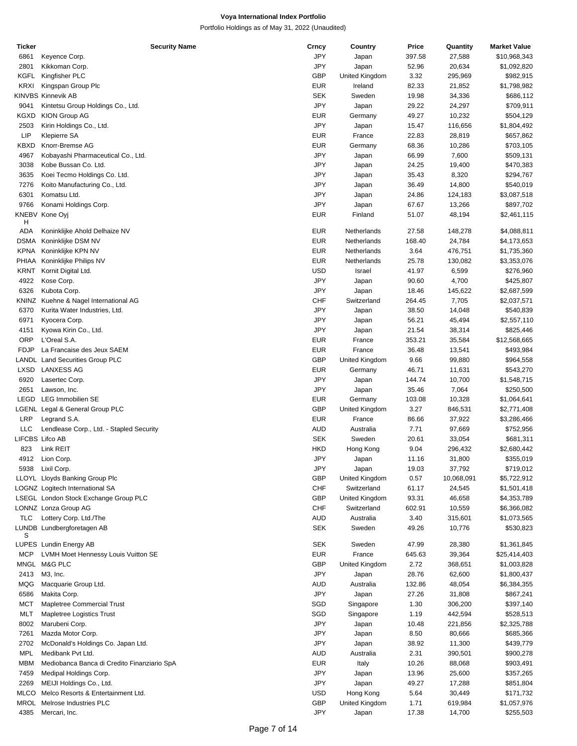| Ticker      | <b>Security Name</b>                        | Crncy      | Country        | Price  | Quantity   | <b>Market Value</b> |
|-------------|---------------------------------------------|------------|----------------|--------|------------|---------------------|
| 6861        | Keyence Corp.                               | JPY        | Japan          | 397.58 | 27,588     | \$10,968,343        |
| 2801        | Kikkoman Corp.                              | JPY        | Japan          | 52.96  | 20,634     | \$1,092,820         |
|             |                                             |            |                |        |            |                     |
| <b>KGFL</b> | Kingfisher PLC                              | <b>GBP</b> | United Kingdom | 3.32   | 295,969    | \$982,915           |
| <b>KRXI</b> | Kingspan Group Plc                          | <b>EUR</b> | Ireland        | 82.33  | 21,852     | \$1,798,982         |
|             | <b>KINVBS Kinnevik AB</b>                   | <b>SEK</b> | Sweden         | 19.98  | 34,336     | \$686,112           |
| 9041        | Kintetsu Group Holdings Co., Ltd.           | JPY        | Japan          | 29.22  | 24,297     | \$709,911           |
| KGXD        | <b>KION Group AG</b>                        | <b>EUR</b> | Germany        | 49.27  | 10,232     | \$504,129           |
| 2503        | Kirin Holdings Co., Ltd.                    | JPY        | Japan          | 15.47  | 116,656    | \$1,804,492         |
| <b>LIP</b>  | <b>Klepierre SA</b>                         | <b>EUR</b> | France         | 22.83  | 28,819     | \$657,862           |
|             |                                             |            |                |        |            |                     |
| <b>KBXD</b> | Knorr-Bremse AG                             | <b>EUR</b> | Germany        | 68.36  | 10,286     | \$703,105           |
| 4967        | Kobayashi Pharmaceutical Co., Ltd.          | JPY        | Japan          | 66.99  | 7,600      | \$509,131           |
| 3038        | Kobe Bussan Co. Ltd.                        | JPY        | Japan          | 24.25  | 19,400     | \$470,383           |
| 3635        | Koei Tecmo Holdings Co. Ltd.                | JPY        | Japan          | 35.43  | 8,320      | \$294,767           |
| 7276        | Koito Manufacturing Co., Ltd.               | JPY        | Japan          | 36.49  | 14,800     | \$540,019           |
| 6301        | Komatsu Ltd.                                | JPY        | Japan          | 24.86  | 124,183    | \$3,087,518         |
|             |                                             |            |                |        |            |                     |
| 9766        | Konami Holdings Corp.                       | JPY        | Japan          | 67.67  | 13,266     | \$897,702           |
|             | KNEBV Kone Oyj                              | <b>EUR</b> | Finland        | 51.07  | 48,194     | \$2,461,115         |
| H           |                                             |            |                |        |            |                     |
| ADA         | Koninklijke Ahold Delhaize NV               | <b>EUR</b> | Netherlands    | 27.58  | 148,278    | \$4,088,811         |
| DSMA        | Koninklijke DSM NV                          | <b>EUR</b> | Netherlands    | 168.40 | 24,784     | \$4,173,653         |
| <b>KPNA</b> | Koninklijke KPN NV                          | <b>EUR</b> | Netherlands    | 3.64   | 476,751    | \$1,735,360         |
|             | PHIAA Koninklijke Philips NV                | <b>EUR</b> | Netherlands    | 25.78  | 130,082    | \$3,353,076         |
| KRNT        | Kornit Digital Ltd.                         | <b>USD</b> | Israel         | 41.97  | 6,599      | \$276,960           |
|             |                                             |            |                |        |            |                     |
| 4922        | Kose Corp.                                  | JPY        | Japan          | 90.60  | 4,700      | \$425,807           |
| 6326        | Kubota Corp.                                | JPY        | Japan          | 18.46  | 145,622    | \$2,687,599         |
|             | KNINZ Kuehne & Nagel International AG       | CHF        | Switzerland    | 264.45 | 7,705      | \$2,037,571         |
| 6370        | Kurita Water Industries, Ltd.               | JPY        | Japan          | 38.50  | 14,048     | \$540,839           |
| 6971        | Kyocera Corp.                               | JPY        | Japan          | 56.21  | 45,494     | \$2,557,110         |
| 4151        | Kyowa Kirin Co., Ltd.                       | JPY        | Japan          | 21.54  | 38,314     | \$825,446           |
| <b>ORP</b>  | L'Oreal S.A.                                | <b>EUR</b> | France         | 353.21 | 35,584     | \$12,568,665        |
|             |                                             |            |                |        |            |                     |
| <b>FDJP</b> | La Francaise des Jeux SAEM                  | <b>EUR</b> | France         | 36.48  | 13,541     | \$493,984           |
|             | LANDL Land Securities Group PLC             | <b>GBP</b> | United Kingdom | 9.66   | 99,880     | \$964,558           |
| <b>LXSD</b> | <b>LANXESS AG</b>                           | <b>EUR</b> | Germany        | 46.71  | 11,631     | \$543,270           |
| 6920        | Lasertec Corp.                              | JPY        | Japan          | 144.74 | 10,700     | \$1,548,715         |
| 2651        | Lawson, Inc.                                | JPY        | Japan          | 35.46  | 7,064      | \$250,500           |
| LEGD        | <b>LEG Immobilien SE</b>                    | <b>EUR</b> | Germany        | 103.08 | 10,328     | \$1,064,641         |
|             |                                             |            |                |        |            |                     |
|             | LGENL Legal & General Group PLC             | <b>GBP</b> | United Kingdom | 3.27   | 846,531    | \$2,771,408         |
| <b>LRP</b>  | Legrand S.A.                                | <b>EUR</b> | France         | 86.66  | 37,922     | \$3,286,466         |
| <b>LLC</b>  | Lendlease Corp., Ltd. - Stapled Security    | <b>AUD</b> | Australia      | 7.71   | 97,669     | \$752,956           |
|             | LIFCBS Lifco AB                             | <b>SEK</b> | Sweden         | 20.61  | 33,054     | \$681,311           |
| 823         | Link REIT                                   | <b>HKD</b> | Hong Kong      | 9.04   | 296,432    | \$2,680,442         |
|             | 4912 Lion Corp.                             | JPY        | Japan          | 11.16  | 31,800     | \$355,019           |
|             |                                             |            |                |        |            |                     |
| 5938        | Lixil Corp.                                 | JPY        | Japan          | 19.03  | 37,792     | \$719,012           |
|             | LLOYL Lloyds Banking Group Plc              | <b>GBP</b> | United Kingdom | 0.57   | 10,068,091 | \$5,722,912         |
|             | LOGNZ Logitech International SA             | <b>CHF</b> | Switzerland    | 61.17  | 24,545     | \$1,501,418         |
|             | LSEGL London Stock Exchange Group PLC       | <b>GBP</b> | United Kingdom | 93.31  | 46,658     | \$4,353,789         |
|             | LONNZ Lonza Group AG                        | <b>CHF</b> | Switzerland    | 602.91 | 10,559     | \$6,366,082         |
| <b>TLC</b>  | Lottery Corp. Ltd./The                      | <b>AUD</b> | Australia      | 3.40   | 315,601    | \$1,073,565         |
|             |                                             |            |                |        |            |                     |
| S           | LUNDB Lundbergforetagen AB                  | SEK        | Sweden         | 49.26  | 10,776     | \$530,823           |
|             | LUPES Lundin Energy AB                      | <b>SEK</b> | Sweden         | 47.99  |            | \$1,361,845         |
|             |                                             |            |                |        | 28,380     |                     |
| <b>MCP</b>  | LVMH Moet Hennessy Louis Vuitton SE         | <b>EUR</b> | France         | 645.63 | 39,364     | \$25,414,403        |
|             | MNGL M&G PLC                                | <b>GBP</b> | United Kingdom | 2.72   | 368,651    | \$1,003,828         |
| 2413        | M3, Inc.                                    | JPY        | Japan          | 28.76  | 62,600     | \$1,800,437         |
| MQG         | Macquarie Group Ltd.                        | AUD        | Australia      | 132.86 | 48,054     | \$6,384,355         |
| 6586        | Makita Corp.                                | JPY        | Japan          | 27.26  | 31,808     | \$867,241           |
|             |                                             |            |                |        |            |                     |
| MCT         | Mapletree Commercial Trust                  | SGD        | Singapore      | 1.30   | 306,200    | \$397,140           |
| MLT         | Mapletree Logistics Trust                   | SGD        | Singapore      | 1.19   | 442,594    | \$528,513           |
| 8002        | Marubeni Corp.                              | JPY        | Japan          | 10.48  | 221,856    | \$2,325,788         |
| 7261        | Mazda Motor Corp.                           | JPY        | Japan          | 8.50   | 80,666     | \$685,366           |
| 2702        | McDonald's Holdings Co. Japan Ltd.          | JPY        | Japan          | 38.92  | 11,300     | \$439,779           |
| <b>MPL</b>  |                                             | <b>AUD</b> |                |        |            |                     |
|             | Medibank Pvt Ltd.                           |            | Australia      | 2.31   | 390,501    | \$900,278           |
| <b>MBM</b>  | Mediobanca Banca di Credito Finanziario SpA | <b>EUR</b> | Italy          | 10.26  | 88,068     | \$903,491           |
| 7459        | Medipal Holdings Corp.                      | JPY        | Japan          | 13.96  | 25,600     | \$357,265           |
| 2269        | MEIJI Holdings Co., Ltd.                    | JPY        | Japan          | 49.27  | 17,288     | \$851,804           |
| <b>MLCO</b> | Melco Resorts & Entertainment Ltd.          | <b>USD</b> | Hong Kong      | 5.64   | 30,449     | \$171,732           |
|             | MROL Melrose Industries PLC                 | <b>GBP</b> | United Kingdom | 1.71   | 619,984    | \$1,057,976         |
|             |                                             | JPY        |                |        |            |                     |
| 4385        | Mercari, Inc.                               |            | Japan          | 17.38  | 14,700     | \$255,503           |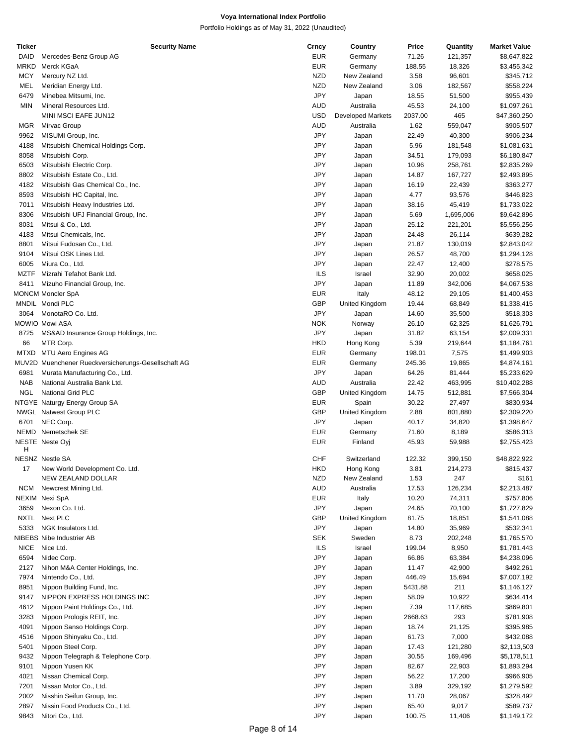| Ticker      | <b>Security Name</b>                                | Crncy      | Country                  | Price   | Quantity  | <b>Market Value</b> |
|-------------|-----------------------------------------------------|------------|--------------------------|---------|-----------|---------------------|
| <b>DAID</b> | Mercedes-Benz Group AG                              | <b>EUR</b> | Germany                  | 71.26   | 121,357   | \$8,647,822         |
| <b>MRKD</b> | Merck KGaA                                          | <b>EUR</b> | Germany                  | 188.55  | 18,326    | \$3,455,342         |
|             |                                                     |            |                          |         |           |                     |
| <b>MCY</b>  | Mercury NZ Ltd.                                     | <b>NZD</b> | New Zealand              | 3.58    | 96,601    | \$345,712           |
| MEL         | Meridian Energy Ltd.                                | <b>NZD</b> | New Zealand              | 3.06    | 182,567   | \$558,224           |
| 6479        | Minebea Mitsumi, Inc.                               | <b>JPY</b> | Japan                    | 18.55   | 51,500    | \$955,439           |
| <b>MIN</b>  | Mineral Resources Ltd.                              | AUD        | Australia                | 45.53   | 24,100    | \$1,097,261         |
|             |                                                     |            |                          |         |           |                     |
|             | MINI MSCI EAFE JUN12                                | USD        | <b>Developed Markets</b> | 2037.00 | 465       | \$47,360,250        |
| <b>MGR</b>  | Mirvac Group                                        | AUD        | Australia                | 1.62    | 559,047   | \$905,507           |
| 9962        | MISUMI Group, Inc.                                  | <b>JPY</b> | Japan                    | 22.49   | 40,300    | \$906,234           |
| 4188        | Mitsubishi Chemical Holdings Corp.                  | JPY        | Japan                    | 5.96    | 181,548   | \$1,081,631         |
|             |                                                     |            |                          |         |           |                     |
| 8058        | Mitsubishi Corp.                                    | JPY        | Japan                    | 34.51   | 179,093   | \$6,180,847         |
| 6503        | Mitsubishi Electric Corp.                           | JPY        | Japan                    | 10.96   | 258,761   | \$2,835,269         |
| 8802        | Mitsubishi Estate Co., Ltd.                         | <b>JPY</b> | Japan                    | 14.87   | 167,727   | \$2,493,895         |
| 4182        | Mitsubishi Gas Chemical Co., Inc.                   | JPY        | Japan                    | 16.19   | 22,439    | \$363,277           |
|             |                                                     |            |                          |         |           |                     |
| 8593        | Mitsubishi HC Capital, Inc.                         | JPY        | Japan                    | 4.77    | 93,576    | \$446,823           |
| 7011        | Mitsubishi Heavy Industries Ltd.                    | JPY        | Japan                    | 38.16   | 45,419    | \$1,733,022         |
| 8306        | Mitsubishi UFJ Financial Group, Inc.                | JPY        | Japan                    | 5.69    | 1,695,006 | \$9,642,896         |
| 8031        | Mitsui & Co., Ltd.                                  | JPY        | Japan                    | 25.12   | 221,201   | \$5,556,256         |
|             |                                                     |            |                          |         |           |                     |
| 4183        | Mitsui Chemicals, Inc.                              | JPY        | Japan                    | 24.48   | 26,114    | \$639,282           |
| 8801        | Mitsui Fudosan Co., Ltd.                            | JPY        | Japan                    | 21.87   | 130,019   | \$2,843,042         |
| 9104        | Mitsui OSK Lines Ltd.                               | JPY        | Japan                    | 26.57   | 48,700    | \$1,294,128         |
| 6005        | Miura Co., Ltd.                                     | JPY        | Japan                    | 22.47   | 12,400    | \$278,575           |
|             |                                                     |            |                          |         |           |                     |
| <b>MZTF</b> | Mizrahi Tefahot Bank Ltd.                           | <b>ILS</b> | Israel                   | 32.90   | 20,002    | \$658,025           |
| 8411        | Mizuho Financial Group, Inc.                        | JPY        | Japan                    | 11.89   | 342,006   | \$4,067,538         |
|             | <b>MONCM Moncler SpA</b>                            | <b>EUR</b> | Italy                    | 48.12   | 29,105    | \$1,400,453         |
|             | MNDIL Mondi PLC                                     | <b>GBP</b> | United Kingdom           | 19.44   | 68,849    | \$1,338,415         |
|             |                                                     |            |                          |         |           |                     |
| 3064        | MonotaRO Co. Ltd.                                   | <b>JPY</b> | Japan                    | 14.60   | 35,500    | \$518,303           |
|             | <b>MOWIO Mowi ASA</b>                               | <b>NOK</b> | Norway                   | 26.10   | 62,325    | \$1,626,791         |
| 8725        | MS&AD Insurance Group Holdings, Inc.                | <b>JPY</b> | Japan                    | 31.82   | 63,154    | \$2,009,331         |
| 66          | MTR Corp.                                           | <b>HKD</b> | Hong Kong                | 5.39    | 219,644   | \$1,184,761         |
|             |                                                     |            |                          |         |           |                     |
| <b>MTXD</b> | <b>MTU Aero Engines AG</b>                          | <b>EUR</b> | Germany                  | 198.01  | 7,575     | \$1,499,903         |
|             | MUV2D Muenchener Rueckversicherungs-Gesellschaft AG | <b>EUR</b> | Germany                  | 245.36  | 19,865    | \$4,874,161         |
| 6981        | Murata Manufacturing Co., Ltd.                      | <b>JPY</b> | Japan                    | 64.26   | 81,444    | \$5,233,629         |
| <b>NAB</b>  | National Australia Bank Ltd.                        | AUD        | Australia                | 22.42   | 463,995   | \$10,402,288        |
|             |                                                     |            |                          |         |           |                     |
| <b>NGL</b>  | <b>National Grid PLC</b>                            | <b>GBP</b> | United Kingdom           | 14.75   | 512,881   | \$7,566,304         |
|             | NTGYE Naturgy Energy Group SA                       | <b>EUR</b> | Spain                    | 30.22   | 27,497    | \$830,934           |
|             | NWGL Natwest Group PLC                              | <b>GBP</b> | United Kingdom           | 2.88    | 801,880   | \$2,309,220         |
| 6701        | NEC Corp.                                           | <b>JPY</b> | Japan                    | 40.17   | 34,820    | \$1,398,647         |
|             |                                                     |            |                          |         |           |                     |
|             | NEMD Nemetschek SE                                  | <b>EUR</b> | Germany                  | 71.60   | 8,189     | \$586,313           |
|             | <b>NESTE Neste Oyi</b>                              | EUR        | Finland                  | 45.93   | 59,988    | \$2,755,423         |
| H           |                                                     |            |                          |         |           |                     |
|             | <b>NESNZ Nestle SA</b>                              | <b>CHF</b> | Switzerland              | 122.32  | 399,150   | \$48,822,922        |
| 17          | New World Development Co. Ltd.                      | HKD        | Hong Kong                | 3.81    | 214,273   | \$815,437           |
|             | NEW ZEALAND DOLLAR                                  | <b>NZD</b> | New Zealand              | 1.53    | 247       | \$161               |
|             |                                                     |            |                          |         |           |                     |
| <b>NCM</b>  | Newcrest Mining Ltd.                                | AUD        | Australia                | 17.53   | 126,234   | \$2,213,487         |
|             | NEXIM Nexi SpA                                      | EUR        | Italy                    | 10.20   | 74,311    | \$757,806           |
| 3659        | Nexon Co. Ltd.                                      | JPY        | Japan                    | 24.65   | 70,100    | \$1,727,829         |
| NXTL        | Next PLC                                            | <b>GBP</b> | United Kingdom           | 81.75   | 18,851    | \$1,541,088         |
|             |                                                     |            |                          |         |           |                     |
| 5333        | NGK Insulators Ltd.                                 | <b>JPY</b> | Japan                    | 14.80   | 35,969    | \$532,341           |
|             | NIBEBS Nibe Industrier AB                           | <b>SEK</b> | Sweden                   | 8.73    | 202,248   | \$1,765,570         |
| <b>NICE</b> | Nice Ltd.                                           | <b>ILS</b> | Israel                   | 199.04  | 8,950     | \$1,781,443         |
| 6594        | Nidec Corp.                                         | <b>JPY</b> |                          |         |           | \$4,238,096         |
|             |                                                     |            | Japan                    | 66.86   | 63,384    |                     |
| 2127        | Nihon M&A Center Holdings, Inc.                     | JPY        | Japan                    | 11.47   | 42,900    | \$492,261           |
| 7974        | Nintendo Co., Ltd.                                  | JPY        | Japan                    | 446.49  | 15,694    | \$7,007,192         |
| 8951        | Nippon Building Fund, Inc.                          | <b>JPY</b> | Japan                    | 5431.88 | 211       | \$1,146,127         |
| 9147        | NIPPON EXPRESS HOLDINGS INC                         | JPY        | Japan                    | 58.09   | 10,922    | \$634,414           |
|             |                                                     |            |                          |         |           |                     |
| 4612        | Nippon Paint Holdings Co., Ltd.                     | JPY        | Japan                    | 7.39    | 117,685   | \$869,801           |
| 3283        | Nippon Prologis REIT, Inc.                          | JPY        | Japan                    | 2668.63 | 293       | \$781,908           |
| 4091        | Nippon Sanso Holdings Corp.                         | JPY        | Japan                    | 18.74   | 21,125    | \$395,985           |
| 4516        | Nippon Shinyaku Co., Ltd.                           | JPY        |                          | 61.73   | 7,000     | \$432,088           |
|             |                                                     |            | Japan                    |         |           |                     |
| 5401        | Nippon Steel Corp.                                  | JPY        | Japan                    | 17.43   | 121,280   | \$2,113,503         |
| 9432        | Nippon Telegraph & Telephone Corp.                  | JPY        | Japan                    | 30.55   | 169,496   | \$5,178,511         |
| 9101        | Nippon Yusen KK                                     | JPY        | Japan                    | 82.67   | 22,903    | \$1,893,294         |
| 4021        | Nissan Chemical Corp.                               | JPY        | Japan                    | 56.22   | 17,200    | \$966,905           |
|             |                                                     |            |                          |         |           |                     |
| 7201        | Nissan Motor Co., Ltd.                              | JPY        | Japan                    | 3.89    | 329,192   | \$1,279,592         |
| 2002        | Nisshin Seifun Group, Inc.                          | JPY        | Japan                    | 11.70   | 28,067    | \$328,492           |
| 2897        | Nissin Food Products Co., Ltd.                      | JPY        | Japan                    | 65.40   | 9,017     | \$589,737           |
| 9843        |                                                     | JPY        |                          |         |           | \$1,149,172         |
|             | Nitori Co., Ltd.                                    |            | Japan                    | 100.75  | 11,406    |                     |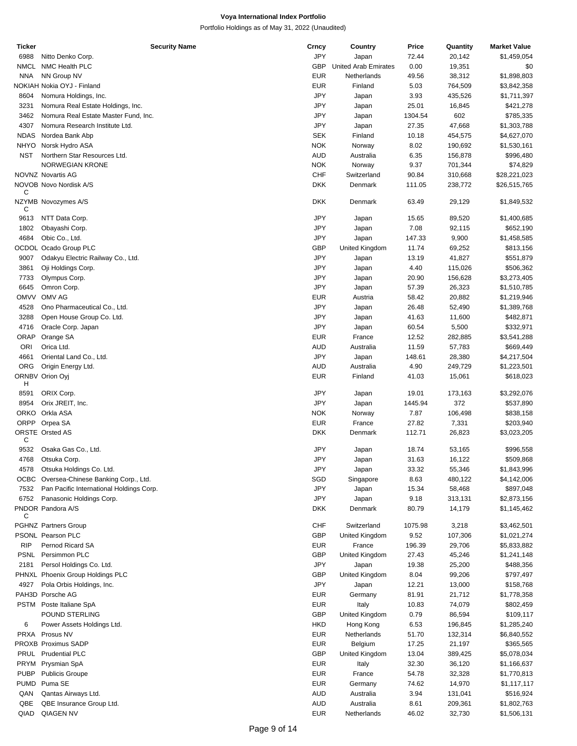| Ticker      | <b>Security Name</b>                     | Crncy      | Country                     | Price   | Quantity | <b>Market Value</b> |
|-------------|------------------------------------------|------------|-----------------------------|---------|----------|---------------------|
| 6988        | Nitto Denko Corp.                        | <b>JPY</b> | Japan                       | 72.44   | 20,142   | \$1,459,054         |
| <b>NMCL</b> | NMC Health PLC                           | <b>GBP</b> | <b>United Arab Emirates</b> | 0.00    | 19,351   | \$0                 |
| <b>NNA</b>  | NN Group NV                              | <b>EUR</b> | Netherlands                 | 49.56   | 38,312   | \$1,898,803         |
|             | NOKIAH Nokia OYJ - Finland               | <b>EUR</b> | Finland                     | 5.03    | 764,509  | \$3,842,358         |
| 8604        | Nomura Holdings, Inc.                    | <b>JPY</b> | Japan                       | 3.93    | 435,526  | \$1,711,397         |
| 3231        | Nomura Real Estate Holdings, Inc.        | JPY        | Japan                       | 25.01   | 16,845   | \$421,278           |
| 3462        | Nomura Real Estate Master Fund, Inc.     | JPY        | Japan                       | 1304.54 | 602      | \$785,335           |
|             |                                          | JPY        |                             | 27.35   |          |                     |
| 4307        | Nomura Research Institute Ltd.           |            | Japan                       |         | 47,668   | \$1,303,788         |
| <b>NDAS</b> | Nordea Bank Abp                          | <b>SEK</b> | Finland                     | 10.18   | 454,575  | \$4,627,070         |
|             | NHYO Norsk Hydro ASA                     | <b>NOK</b> | Norway                      | 8.02    | 190,692  | \$1,530,161         |
| <b>NST</b>  | Northern Star Resources Ltd.             | <b>AUD</b> | Australia                   | 6.35    | 156,878  | \$996,480           |
|             | NORWEGIAN KRONE                          | <b>NOK</b> | Norway                      | 9.37    | 701,344  | \$74,829            |
|             | NOVNZ Novartis AG                        | CHF        | Switzerland                 | 90.84   | 310,668  | \$28,221,023        |
|             | NOVOB Novo Nordisk A/S                   | <b>DKK</b> | Denmark                     | 111.05  | 238,772  | \$26,515,765        |
| С           |                                          |            |                             |         |          |                     |
|             | NZYMB Novozymes A/S                      | <b>DKK</b> | Denmark                     | 63.49   | 29,129   | \$1,849,532         |
| С           |                                          |            |                             |         |          |                     |
| 9613        | NTT Data Corp.                           | JPY        | Japan                       | 15.65   | 89,520   | \$1,400,685         |
| 1802        | Obayashi Corp.                           | JPY        | Japan                       | 7.08    | 92,115   | \$652,190           |
| 4684        | Obic Co., Ltd.                           | JPY        | Japan                       | 147.33  | 9,900    | \$1,458,585         |
|             | OCDOL Ocado Group PLC                    | GBP        | United Kingdom              | 11.74   | 69,252   | \$813,156           |
| 9007        | Odakyu Electric Railway Co., Ltd.        | JPY        | Japan                       | 13.19   | 41,827   | \$551,879           |
| 3861        | Oji Holdings Corp.                       | JPY        | Japan                       | 4.40    | 115,026  | \$506,362           |
| 7733        | Olympus Corp.                            | JPY        | Japan                       | 20.90   | 156,628  | \$3,273,405         |
| 6645        | Omron Corp.                              | JPY        | Japan                       | 57.39   | 26,323   | \$1,510,785         |
| <b>OMVV</b> | OMV AG                                   | <b>EUR</b> | Austria                     | 58.42   | 20,882   | \$1,219,946         |
| 4528        | Ono Pharmaceutical Co., Ltd.             | JPY        | Japan                       | 26.48   | 52,490   | \$1,389,768         |
| 3288        | Open House Group Co. Ltd.                | JPY        | Japan                       | 41.63   | 11,600   | \$482,871           |
| 4716        | Oracle Corp. Japan                       | <b>JPY</b> | Japan                       | 60.54   | 5,500    | \$332,971           |
| ORAP        | Orange SA                                | <b>EUR</b> | France                      | 12.52   | 282,885  | \$3,541,288         |
|             |                                          |            |                             |         |          |                     |
| <b>ORI</b>  | Orica Ltd.                               | <b>AUD</b> | Australia                   | 11.59   | 57,783   | \$669,449           |
| 4661        | Oriental Land Co., Ltd.                  | <b>JPY</b> | Japan                       | 148.61  | 28,380   | \$4,217,504         |
| <b>ORG</b>  | Origin Energy Ltd.                       | <b>AUD</b> | Australia                   | 4.90    | 249,729  | \$1,223,501         |
|             | ORNBV Orion Oyj                          | <b>EUR</b> | Finland                     | 41.03   | 15,061   | \$618,023           |
| H           |                                          |            |                             |         |          |                     |
| 8591        | ORIX Corp.                               | JPY        | Japan                       | 19.01   | 173,163  | \$3,292,076         |
| 8954        | Orix JREIT, Inc.                         | <b>JPY</b> | Japan                       | 1445.94 | 372      | \$537,890           |
|             | ORKO Orkla ASA                           | <b>NOK</b> | Norway                      | 7.87    | 106,498  | \$838,158           |
|             | ORPP Orpea SA                            | <b>EUR</b> | France                      | 27.82   | 7,331    | \$203,940           |
|             | ORSTE Orsted AS                          | DKK        | Denmark                     | 112.71  | 26,823   | \$3,023,205         |
| С           |                                          |            |                             |         |          |                     |
| 9532        | Osaka Gas Co., Ltd.                      | JPY        | Japan                       | 18.74   | 53,165   | \$996,558           |
| 4768        | Otsuka Corp.                             | JPY        | Japan                       | 31.63   | 16,122   | \$509,868           |
| 4578        | Otsuka Holdings Co. Ltd.                 | JPY        | Japan                       | 33.32   | 55,346   | \$1,843,996         |
|             | OCBC Oversea-Chinese Banking Corp., Ltd. | SGD        | Singapore                   | 8.63    | 480,122  | \$4,142,006         |
| 7532        | Pan Pacific International Holdings Corp. | <b>JPY</b> | Japan                       | 15.34   | 58,468   | \$897,048           |
| 6752        | Panasonic Holdings Corp.                 | <b>JPY</b> | Japan                       | 9.18    | 313,131  | \$2,873,156         |
|             | PNDOR Pandora A/S                        | DKK        | Denmark                     | 80.79   | 14,179   | \$1,145,462         |
| С           |                                          |            |                             |         |          |                     |
|             | <b>PGHNZ Partners Group</b>              | <b>CHF</b> | Switzerland                 | 1075.98 | 3,218    | \$3,462,501         |
|             | PSONL Pearson PLC                        | GBP        | United Kingdom              | 9.52    | 107,306  | \$1,021,274         |
| <b>RIP</b>  | Pernod Ricard SA                         | <b>EUR</b> | France                      | 196.39  | 29,706   | \$5,833,882         |
|             | PSNL Persimmon PLC                       | GBP        | United Kingdom              | 27.43   | 45,246   | \$1,241,148         |
| 2181        | Persol Holdings Co. Ltd.                 | <b>JPY</b> | Japan                       | 19.38   | 25,200   | \$488,356           |
|             | PHNXL Phoenix Group Holdings PLC         | GBP        | United Kingdom              | 8.04    | 99,206   | \$797,497           |
| 4927        | Pola Orbis Holdings, Inc.                | <b>JPY</b> | Japan                       | 12.21   | 13,000   | \$158,768           |
|             | PAH3D Porsche AG                         | <b>EUR</b> | Germany                     | 81.91   | 21,712   | \$1,778,358         |
|             |                                          |            |                             |         |          |                     |
|             | PSTM Poste Italiane SpA                  | <b>EUR</b> | Italy                       | 10.83   | 74,079   | \$802,459           |
|             | POUND STERLING                           | GBP        | United Kingdom              | 0.79    | 86,594   | \$109,117           |
| 6           | Power Assets Holdings Ltd.               | <b>HKD</b> | Hong Kong                   | 6.53    | 196,845  | \$1,285,240         |
|             | PRXA Prosus NV                           | <b>EUR</b> | Netherlands                 | 51.70   | 132,314  | \$6,840,552         |
|             | PROXB Proximus SADP                      | <b>EUR</b> | Belgium                     | 17.25   | 21,197   | \$365,565           |
| PRUL        | <b>Prudential PLC</b>                    | <b>GBP</b> | United Kingdom              | 13.04   | 389,425  | \$5,078,034         |
|             | PRYM Prysmian SpA                        | <b>EUR</b> | Italy                       | 32.30   | 36,120   | \$1,166,637         |
| <b>PUBP</b> | <b>Publicis Groupe</b>                   | <b>EUR</b> | France                      | 54.78   | 32,328   | \$1,770,813         |
|             | PUMD Puma SE                             | <b>EUR</b> | Germany                     | 74.62   | 14,970   | \$1,117,117         |
| QAN         | Qantas Airways Ltd.                      | <b>AUD</b> | Australia                   | 3.94    | 131,041  | \$516,924           |
| QBE         | QBE Insurance Group Ltd.                 | <b>AUD</b> | Australia                   | 8.61    | 209,361  | \$1,802,763         |
| QIAD        | QIAGEN NV                                | <b>EUR</b> | Netherlands                 | 46.02   | 32,730   | \$1,506,131         |
|             |                                          |            |                             |         |          |                     |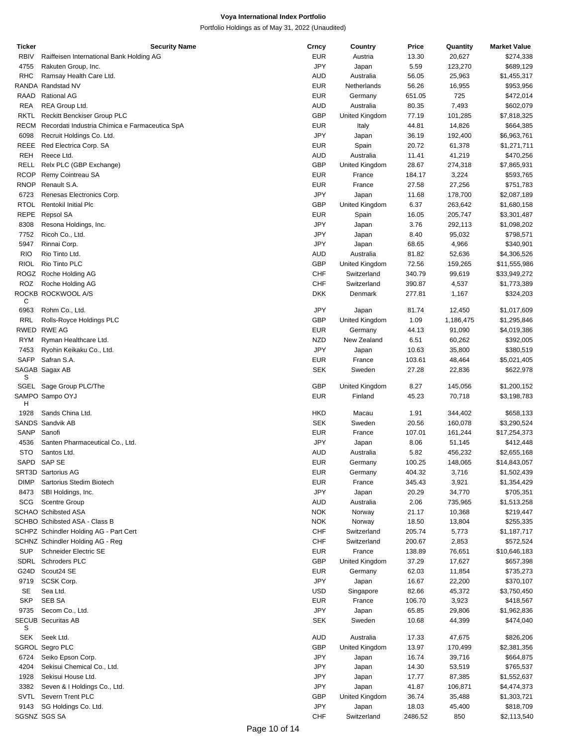| Ticker      | <b>Security Name</b>                           | Crncy      | Country        | Price   | Quantity  | <b>Market Value</b> |
|-------------|------------------------------------------------|------------|----------------|---------|-----------|---------------------|
| <b>RBIV</b> | Raiffeisen International Bank Holding AG       | <b>EUR</b> | Austria        | 13.30   | 20,627    | \$274,338           |
| 4755        | Rakuten Group, Inc.                            | <b>JPY</b> | Japan          | 5.59    | 123,270   | \$689,129           |
| <b>RHC</b>  | Ramsay Health Care Ltd.                        | <b>AUD</b> | Australia      | 56.05   | 25,963    | \$1,455,317         |
|             | RANDA Randstad NV                              | <b>EUR</b> |                |         |           |                     |
|             |                                                |            | Netherlands    | 56.26   | 16,955    | \$953,956           |
| RAAD        | <b>Rational AG</b>                             | <b>EUR</b> | Germany        | 651.05  | 725       | \$472,014           |
| <b>REA</b>  | REA Group Ltd.                                 | <b>AUD</b> | Australia      | 80.35   | 7,493     | \$602,079           |
| <b>RKTL</b> | <b>Reckitt Benckiser Group PLC</b>             | <b>GBP</b> | United Kingdom | 77.19   | 101,285   | \$7,818,325         |
| RECM        | Recordati Industria Chimica e Farmaceutica SpA | <b>EUR</b> | Italy          | 44.81   | 14,826    | \$664,385           |
| 6098        | Recruit Holdings Co. Ltd.                      | <b>JPY</b> | Japan          | 36.19   | 192,400   | \$6,963,761         |
| REEE        | Red Electrica Corp. SA                         | <b>EUR</b> | Spain          | 20.72   | 61,378    | \$1,271,711         |
| <b>REH</b>  | Reece Ltd.                                     | <b>AUD</b> | Australia      | 11.41   |           | \$470,256           |
|             |                                                |            |                |         | 41,219    |                     |
| RELL        | Relx PLC (GBP Exchange)                        | <b>GBP</b> | United Kingdom | 28.67   | 274,318   | \$7,865,931         |
| <b>RCOP</b> | Remy Cointreau SA                              | <b>EUR</b> | France         | 184.17  | 3,224     | \$593,765           |
| <b>RNOP</b> | Renault S.A.                                   | <b>EUR</b> | France         | 27.58   | 27,256    | \$751,783           |
| 6723        | Renesas Electronics Corp.                      | JPY        | Japan          | 11.68   | 178,700   | \$2,087,189         |
| <b>RTOL</b> | <b>Rentokil Initial Plc</b>                    | <b>GBP</b> | United Kingdom | 6.37    | 263,642   | \$1,680,158         |
| <b>REPE</b> | Repsol SA                                      | <b>EUR</b> | Spain          | 16.05   | 205,747   | \$3,301,487         |
| 8308        | Resona Holdings, Inc.                          | JPY        | Japan          | 3.76    | 292,113   | \$1,098,202         |
|             |                                                |            |                |         |           |                     |
| 7752        | Ricoh Co., Ltd.                                | JPY        | Japan          | 8.40    | 95,032    | \$798,571           |
| 5947        | Rinnai Corp.                                   | JPY        | Japan          | 68.65   | 4,966     | \$340,901           |
| <b>RIO</b>  | Rio Tinto Ltd.                                 | <b>AUD</b> | Australia      | 81.82   | 52,636    | \$4,306,526         |
| <b>RIOL</b> | Rio Tinto PLC                                  | <b>GBP</b> | United Kingdom | 72.56   | 159,265   | \$11,555,986        |
|             | ROGZ Roche Holding AG                          | <b>CHF</b> | Switzerland    | 340.79  | 99,619    | \$33,949,272        |
| ROZ         | Roche Holding AG                               | <b>CHF</b> | Switzerland    | 390.87  | 4,537     | \$1,773,389         |
|             | ROCKB ROCKWOOL A/S                             | <b>DKK</b> | Denmark        | 277.81  | 1,167     | \$324,203           |
| С           |                                                |            |                |         |           |                     |
| 6963        | Rohm Co., Ltd.                                 | JPY        | Japan          | 81.74   | 12,450    | \$1,017,609         |
|             |                                                | <b>GBP</b> | United Kingdom |         |           |                     |
| RRL         | Rolls-Royce Holdings PLC                       |            |                | 1.09    | 1,186,475 | \$1,295,846         |
|             | RWED RWE AG                                    | <b>EUR</b> | Germany        | 44.13   | 91,090    | \$4,019,386         |
| <b>RYM</b>  | Ryman Healthcare Ltd.                          | <b>NZD</b> | New Zealand    | 6.51    | 60,262    | \$392,005           |
| 7453        | Ryohin Keikaku Co., Ltd.                       | <b>JPY</b> | Japan          | 10.63   | 35,800    | \$380,519           |
| <b>SAFP</b> | Safran S.A.                                    | <b>EUR</b> | France         | 103.61  | 48,464    | \$5,021,405         |
|             | SAGAB Sagax AB                                 | <b>SEK</b> | Sweden         | 27.28   | 22,836    | \$622,978           |
| S           |                                                |            |                |         |           |                     |
|             | SGEL Sage Group PLC/The                        | <b>GBP</b> | United Kingdom | 8.27    | 145,056   | \$1,200,152         |
|             | SAMPO Sampo OYJ                                | EUR        | Finland        | 45.23   | 70,718    | \$3,198,783         |
| H           |                                                |            |                |         |           |                     |
| 1928        | Sands China Ltd.                               | <b>HKD</b> | Macau          | 1.91    | 344,402   | \$658,133           |
|             | SANDS Sandvik AB                               | <b>SEK</b> | Sweden         | 20.56   | 160,078   | \$3,290,524         |
| SANP        | Sanofi                                         | EUR        | France         | 107.01  | 161,244   | \$17,254,373        |
|             |                                                |            |                |         |           |                     |
| 4536        | Santen Pharmaceutical Co., Ltd.                | JPY        | Japan          | 8.06    | 51,145    | \$412,448           |
| <b>STO</b>  | Santos Ltd.                                    | <b>AUD</b> | Australia      | 5.82    | 456,232   | \$2,655,168         |
|             | SAPD SAP SE                                    | EUR        | Germany        | 100.25  | 148,065   | \$14,843,057        |
|             | SRT3D Sartorius AG                             | EUR        | Germany        | 404.32  | 3,716     | \$1,502,439         |
| <b>DIMP</b> | Sartorius Stedim Biotech                       | <b>EUR</b> | France         | 345.43  | 3,921     | \$1,354,429         |
| 8473        | SBI Holdings, Inc.                             | JPY        | Japan          | 20.29   | 34,770    | \$705,351           |
| <b>SCG</b>  | <b>Scentre Group</b>                           | <b>AUD</b> | Australia      | 2.06    | 735,965   | \$1,513,258         |
|             |                                                |            |                |         |           |                     |
|             | SCHAO Schibsted ASA                            | <b>NOK</b> | Norway         | 21.17   | 10,368    | \$219,447           |
|             | SCHBO Schibsted ASA - Class B                  | <b>NOK</b> | Norway         | 18.50   | 13,804    | \$255,335           |
|             | SCHPZ Schindler Holding AG - Part Cert         | <b>CHF</b> | Switzerland    | 205.74  | 5,773     | \$1,187,717         |
|             | SCHNZ Schindler Holding AG - Reg               | <b>CHF</b> | Switzerland    | 200.67  | 2,853     | \$572,524           |
| SUP         | Schneider Electric SE                          | <b>EUR</b> | France         | 138.89  | 76,651    | \$10,646,183        |
|             | SDRL Schroders PLC                             | <b>GBP</b> | United Kingdom | 37.29   | 17,627    | \$657,398           |
| G24D        | Scout24 SE                                     | <b>EUR</b> | Germany        | 62.03   | 11,854    | \$735,273           |
|             |                                                |            |                |         |           |                     |
| 9719        | SCSK Corp.                                     | JPY        | Japan          | 16.67   | 22,200    | \$370,107           |
| SE          | Sea Ltd.                                       | <b>USD</b> | Singapore      | 82.66   | 45,372    | \$3,750,450         |
| <b>SKP</b>  | SEB SA                                         | <b>EUR</b> | France         | 106.70  | 3,923     | \$418,567           |
| 9735        | Secom Co., Ltd.                                | <b>JPY</b> | Japan          | 65.85   | 29,806    | \$1,962,836         |
|             | <b>SECUB Securitas AB</b>                      | SEK        | Sweden         | 10.68   | 44,399    | \$474,040           |
| S           |                                                |            |                |         |           |                     |
| SEK         | Seek Ltd.                                      | <b>AUD</b> | Australia      | 17.33   | 47,675    | \$826,206           |
|             | SGROL Segro PLC                                | <b>GBP</b> | United Kingdom | 13.97   | 170,499   | \$2,381,356         |
| 6724        | Seiko Epson Corp.                              | JPY        | Japan          | 16.74   | 39,716    | \$664,875           |
|             |                                                |            |                |         |           |                     |
| 4204        | Sekisui Chemical Co., Ltd.                     | JPY        | Japan          | 14.30   | 53,519    | \$765,537           |
| 1928        | Sekisui House Ltd.                             | JPY        | Japan          | 17.77   | 87,385    | \$1,552,637         |
| 3382        | Seven & I Holdings Co., Ltd.                   | JPY        | Japan          | 41.87   | 106,871   | \$4,474,373         |
| SVTL        | Severn Trent PLC                               | <b>GBP</b> | United Kingdom | 36.74   | 35,488    | \$1,303,721         |
| 9143        | SG Holdings Co. Ltd.                           | <b>JPY</b> | Japan          | 18.03   | 45,400    | \$818,709           |
|             | SGSNZ SGS SA                                   | CHF        | Switzerland    | 2486.52 | 850       | \$2,113,540         |
|             |                                                |            |                |         |           |                     |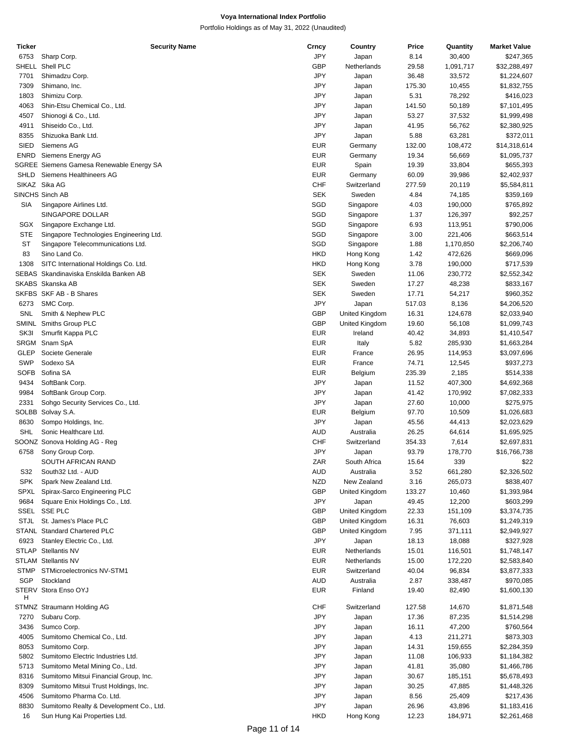| Ticker      | <b>Security Name</b>                     | Crncy      | Country        | Price  | Quantity  | <b>Market Value</b> |
|-------------|------------------------------------------|------------|----------------|--------|-----------|---------------------|
| 6753        | Sharp Corp.                              | JPY        | Japan          | 8.14   | 30,400    | \$247,365           |
|             | SHELL Shell PLC                          | <b>GBP</b> | Netherlands    | 29.58  | 1,091,717 | \$32,288,497        |
|             |                                          | JPY        |                |        |           |                     |
| 7701        | Shimadzu Corp.                           |            | Japan          | 36.48  | 33,572    | \$1,224,607         |
| 7309        | Shimano, Inc.                            | JPY        | Japan          | 175.30 | 10,455    | \$1,832,755         |
| 1803        | Shimizu Corp.                            | JPY        | Japan          | 5.31   | 78,292    | \$416,023           |
| 4063        | Shin-Etsu Chemical Co., Ltd.             | JPY        | Japan          | 141.50 | 50,189    | \$7,101,495         |
| 4507        | Shionogi & Co., Ltd.                     | JPY        | Japan          | 53.27  | 37,532    | \$1,999,498         |
| 4911        | Shiseido Co., Ltd.                       | JPY        | Japan          | 41.95  | 56,762    | \$2,380,925         |
| 8355        | Shizuoka Bank Ltd.                       | JPY        | Japan          | 5.88   | 63,281    | \$372,011           |
|             |                                          |            |                |        |           |                     |
| <b>SIED</b> | Siemens AG                               | <b>EUR</b> | Germany        | 132.00 | 108,472   | \$14,318,614        |
| <b>ENRD</b> | Siemens Energy AG                        | <b>EUR</b> | Germany        | 19.34  | 56,669    | \$1,095,737         |
|             | SGREE Siemens Gamesa Renewable Energy SA | <b>EUR</b> | Spain          | 19.39  | 33,804    | \$655,393           |
| SHLD        | Siemens Healthineers AG                  | <b>EUR</b> | Germany        | 60.09  | 39,986    | \$2,402,937         |
|             | SIKAZ Sika AG                            | <b>CHF</b> | Switzerland    | 277.59 | 20,119    | \$5,584,811         |
|             | SINCHS Sinch AB                          | <b>SEK</b> | Sweden         | 4.84   | 74,185    | \$359,169           |
| SIA         |                                          | SGD        |                | 4.03   | 190,000   | \$765,892           |
|             | Singapore Airlines Ltd.                  |            | Singapore      |        |           |                     |
|             | SINGAPORE DOLLAR                         | SGD        | Singapore      | 1.37   | 126,397   | \$92,257            |
| SGX         | Singapore Exchange Ltd.                  | SGD        | Singapore      | 6.93   | 113,951   | \$790,006           |
| <b>STE</b>  | Singapore Technologies Engineering Ltd.  | SGD        | Singapore      | 3.00   | 221,406   | \$663,514           |
| <b>ST</b>   | Singapore Telecommunications Ltd.        | SGD        | Singapore      | 1.88   | 1,170,850 | \$2,206,740         |
| 83          | Sino Land Co.                            | <b>HKD</b> | Hong Kong      | 1.42   | 472,626   | \$669,096           |
| 1308        | SITC International Holdings Co. Ltd.     | <b>HKD</b> | Hong Kong      | 3.78   | 190,000   | \$717,539           |
|             |                                          |            |                |        |           |                     |
|             | SEBAS Skandinaviska Enskilda Banken AB   | <b>SEK</b> | Sweden         | 11.06  | 230,772   | \$2,552,342         |
|             | SKABS Skanska AB                         | <b>SEK</b> | Sweden         | 17.27  | 48,238    | \$833,167           |
|             | SKFBS SKF AB - B Shares                  | <b>SEK</b> | Sweden         | 17.71  | 54,217    | \$960,352           |
| 6273        | SMC Corp.                                | JPY        | Japan          | 517.03 | 8,136     | \$4,206,520         |
| SNL         | Smith & Nephew PLC                       | <b>GBP</b> | United Kingdom | 16.31  | 124,678   | \$2,033,940         |
|             | SMINL Smiths Group PLC                   | <b>GBP</b> | United Kingdom | 19.60  | 56,108    | \$1,099,743         |
| SK3I        | Smurfit Kappa PLC                        | <b>EUR</b> | Ireland        | 40.42  |           |                     |
|             |                                          |            |                |        | 34,893    | \$1,410,547         |
|             | SRGM Snam SpA                            | <b>EUR</b> | Italy          | 5.82   | 285,930   | \$1,663,284         |
| <b>GLEP</b> | Societe Generale                         | <b>EUR</b> | France         | 26.95  | 114,953   | \$3,097,696         |
| <b>SWP</b>  | Sodexo SA                                | <b>EUR</b> | France         | 74.71  | 12,545    | \$937,273           |
| <b>SOFB</b> | Sofina SA                                | <b>EUR</b> | Belgium        | 235.39 | 2,185     | \$514,338           |
| 9434        | SoftBank Corp.                           | JPY        | Japan          | 11.52  | 407,300   | \$4,692,368         |
| 9984        | SoftBank Group Corp.                     | JPY        | Japan          | 41.42  | 170,992   | \$7,082,333         |
|             |                                          |            |                |        |           |                     |
| 2331        | Sohgo Security Services Co., Ltd.        | JPY        | Japan          | 27.60  | 10,000    | \$275,975           |
|             | SOLBB Solvay S.A.                        | <b>EUR</b> | Belgium        | 97.70  | 10,509    | \$1,026,683         |
| 8630        | Sompo Holdings, Inc.                     | JPY        | Japan          | 45.56  | 44,413    | \$2,023,629         |
| <b>SHL</b>  | Sonic Healthcare Ltd.                    | <b>AUD</b> | Australia      | 26.25  | 64,614    | \$1,695,925         |
|             | SOONZ Sonova Holding AG - Reg            | CHF        | Switzerland    | 354.33 | 7,614     | \$2,697,831         |
| 6758        | Sony Group Corp.                         | JPY        | Japan          | 93.79  | 178,770   | \$16,766,738        |
|             | SOUTH AFRICAN RAND                       | ZAR        | South Africa   | 15.64  | 339       | \$22                |
|             |                                          |            |                |        |           |                     |
| S32         | South32 Ltd. - AUD                       | <b>AUD</b> | Australia      | 3.52   | 661,280   | \$2,326,502         |
| <b>SPK</b>  | Spark New Zealand Ltd.                   | <b>NZD</b> | New Zealand    | 3.16   | 265,073   | \$838,407           |
| SPXL        | Spirax-Sarco Engineering PLC             | <b>GBP</b> | United Kingdom | 133.27 | 10,460    | \$1,393,984         |
| 9684        | Square Enix Holdings Co., Ltd.           | JPY        | Japan          | 49.45  | 12,200    | \$603,299           |
| SSEL        | <b>SSE PLC</b>                           | <b>GBP</b> | United Kingdom | 22.33  | 151,109   | \$3,374,735         |
| <b>STJL</b> | St. James's Place PLC                    | GBP        | United Kingdom | 16.31  | 76,603    | \$1,249,319         |
|             | STANL Standard Chartered PLC             | <b>GBP</b> |                |        |           |                     |
|             |                                          |            | United Kingdom | 7.95   | 371,111   | \$2,949,927         |
| 6923        | Stanley Electric Co., Ltd.               | JPY        | Japan          | 18.13  | 18,088    | \$327,928           |
|             | STLAP Stellantis NV                      | <b>EUR</b> | Netherlands    | 15.01  | 116,501   | \$1,748,147         |
|             | <b>STLAM Stellantis NV</b>               | EUR        | Netherlands    | 15.00  | 172,220   | \$2,583,840         |
| <b>STMP</b> | STMicroelectronics NV-STM1               | <b>EUR</b> | Switzerland    | 40.04  | 96,834    | \$3,877,333         |
| SGP         | Stockland                                | <b>AUD</b> | Australia      | 2.87   | 338,487   | \$970,085           |
|             | STERV Stora Enso OYJ                     | <b>EUR</b> | Finland        | 19.40  |           | \$1,600,130         |
| н           |                                          |            |                |        | 82,490    |                     |
|             | STMNZ Straumann Holding AG               | CHF        | Switzerland    | 127.58 | 14,670    | \$1,871,548         |
|             |                                          |            |                |        |           |                     |
| 7270        | Subaru Corp.                             | JPY        | Japan          | 17.36  | 87,235    | \$1,514,298         |
| 3436        | Sumco Corp.                              | JPY        | Japan          | 16.11  | 47,200    | \$760,564           |
| 4005        | Sumitomo Chemical Co., Ltd.              | JPY        | Japan          | 4.13   | 211,271   | \$873,303           |
| 8053        | Sumitomo Corp.                           | JPY        | Japan          | 14.31  | 159,655   | \$2,284,359         |
| 5802        | Sumitomo Electric Industries Ltd.        | JPY        | Japan          | 11.08  | 106,933   | \$1,184,382         |
| 5713        | Sumitomo Metal Mining Co., Ltd.          | JPY        | Japan          | 41.81  | 35,080    | \$1,466,786         |
|             |                                          |            |                |        |           |                     |
| 8316        | Sumitomo Mitsui Financial Group, Inc.    | JPY        | Japan          | 30.67  | 185,151   | \$5,678,493         |
| 8309        | Sumitomo Mitsui Trust Holdings, Inc.     | JPY        | Japan          | 30.25  | 47,885    | \$1,448,326         |
| 4506        | Sumitomo Pharma Co. Ltd.                 | JPY        | Japan          | 8.56   | 25,409    | \$217,436           |
| 8830        | Sumitomo Realty & Development Co., Ltd.  | JPY        | Japan          | 26.96  | 43,896    | \$1,183,416         |
| 16          | Sun Hung Kai Properties Ltd.             | <b>HKD</b> | Hong Kong      | 12.23  | 184,971   | \$2,261,468         |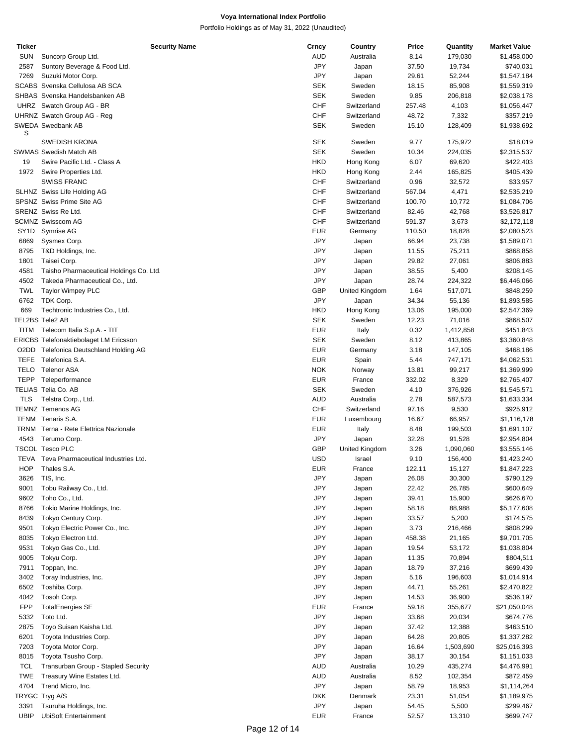| Ticker                        | <b>Security Name</b>                          | Crncy      | Country        | Price  | Quantity  | <b>Market Value</b> |
|-------------------------------|-----------------------------------------------|------------|----------------|--------|-----------|---------------------|
| <b>SUN</b>                    | Suncorp Group Ltd.                            | AUD        | Australia      | 8.14   | 179,030   | \$1,458,000         |
| 2587                          | Suntory Beverage & Food Ltd.                  | <b>JPY</b> | Japan          | 37.50  | 19,734    | \$740,031           |
| 7269                          | Suzuki Motor Corp.                            | <b>JPY</b> | Japan          | 29.61  | 52,244    | \$1,547,184         |
|                               | SCABS Svenska Cellulosa AB SCA                | <b>SEK</b> | Sweden         | 18.15  | 85,908    | \$1,559,319         |
|                               | SHBAS Svenska Handelsbanken AB                | <b>SEK</b> | Sweden         | 9.85   | 206,818   | \$2,038,178         |
|                               | UHRZ Swatch Group AG - BR                     | <b>CHF</b> | Switzerland    | 257.48 | 4,103     | \$1,056,447         |
|                               |                                               |            |                |        |           |                     |
|                               | UHRNZ Swatch Group AG - Reg                   | <b>CHF</b> | Switzerland    | 48.72  | 7,332     | \$357,219           |
|                               | SWEDA Swedbank AB                             | <b>SEK</b> | Sweden         | 15.10  | 128,409   | \$1,938,692         |
| S                             |                                               |            |                |        |           |                     |
|                               | <b>SWEDISH KRONA</b>                          | <b>SEK</b> | Sweden         | 9.77   | 175,972   | \$18,019            |
|                               | <b>SWMAS Swedish Match AB</b>                 | <b>SEK</b> | Sweden         | 10.34  | 224,035   | \$2,315,537         |
| 19                            | Swire Pacific Ltd. - Class A                  | <b>HKD</b> | Hong Kong      | 6.07   | 69,620    | \$422,403           |
| 1972                          | Swire Properties Ltd.                         | <b>HKD</b> | Hong Kong      | 2.44   | 165,825   | \$405,439           |
|                               | <b>SWISS FRANC</b>                            | <b>CHF</b> | Switzerland    | 0.96   | 32,572    | \$33,957            |
|                               | SLHNZ Swiss Life Holding AG                   | CHF        | Switzerland    | 567.04 | 4,471     | \$2,535,219         |
|                               | SPSNZ Swiss Prime Site AG                     | <b>CHF</b> | Switzerland    | 100.70 | 10,772    | \$1,084,706         |
|                               | SRENZ Swiss Re Ltd.                           | <b>CHF</b> | Switzerland    | 82.46  | 42,768    | \$3,526,817         |
|                               | <b>SCMNZ Swisscom AG</b>                      | <b>CHF</b> | Switzerland    | 591.37 | 3,673     | \$2,172,118         |
|                               |                                               |            |                |        |           |                     |
| SY <sub>1</sub> D             | Symrise AG                                    | EUR        | Germany        | 110.50 | 18,828    | \$2,080,523         |
| 6869                          | Sysmex Corp.                                  | JPY        | Japan          | 66.94  | 23,738    | \$1,589,071         |
| 8795                          | T&D Holdings, Inc.                            | <b>JPY</b> | Japan          | 11.55  | 75,211    | \$868,858           |
| 1801                          | Taisei Corp.                                  | <b>JPY</b> | Japan          | 29.82  | 27,061    | \$806,883           |
| 4581                          | Taisho Pharmaceutical Holdings Co. Ltd.       | JPY        | Japan          | 38.55  | 5,400     | \$208,145           |
| 4502                          | Takeda Pharmaceutical Co., Ltd.               | <b>JPY</b> | Japan          | 28.74  | 224,322   | \$6,446,066         |
| <b>TWL</b>                    | <b>Taylor Wimpey PLC</b>                      | <b>GBP</b> | United Kingdom | 1.64   | 517,071   | \$848,259           |
| 6762                          | TDK Corp.                                     | JPY        | Japan          | 34.34  | 55,136    | \$1,893,585         |
|                               |                                               |            |                |        |           |                     |
| 669                           | Techtronic Industries Co., Ltd.               | HKD        | Hong Kong      | 13.06  | 195,000   | \$2,547,369         |
|                               | TEL2BS Tele2 AB                               | <b>SEK</b> | Sweden         | 12.23  | 71,016    | \$868,507           |
| <b>TITM</b>                   | Telecom Italia S.p.A. - TIT                   | <b>EUR</b> | Italy          | 0.32   | 1,412,858 | \$451,843           |
|                               | <b>ERICBS Telefonaktiebolaget LM Ericsson</b> | <b>SEK</b> | Sweden         | 8.12   | 413,865   | \$3,360,848         |
| O <sub>2</sub> D <sub>D</sub> | Telefonica Deutschland Holding AG             | <b>EUR</b> | Germany        | 3.18   | 147,105   | \$468,186           |
| <b>TEFE</b>                   | Telefonica S.A.                               | <b>EUR</b> | Spain          | 5.44   | 747,171   | \$4,062,531         |
| <b>TELO</b>                   | <b>Telenor ASA</b>                            | <b>NOK</b> | Norway         | 13.81  | 99,217    | \$1,369,999         |
| <b>TEPP</b>                   | Teleperformance                               | <b>EUR</b> | France         | 332.02 | 8,329     | \$2,765,407         |
|                               | TELIAS Telia Co. AB                           | <b>SEK</b> | Sweden         | 4.10   | 376,926   | \$1,545,571         |
| <b>TLS</b>                    |                                               |            |                |        |           |                     |
|                               | Telstra Corp., Ltd.                           | <b>AUD</b> | Australia      | 2.78   | 587,573   | \$1,633,334         |
|                               | <b>TEMNZ Temenos AG</b>                       | <b>CHF</b> | Switzerland    | 97.16  | 9,530     | \$925,912           |
|                               | TENM Tenaris S.A.                             | <b>EUR</b> | Luxembourg     | 16.67  | 66,957    | \$1,116,178         |
|                               | TRNM Terna - Rete Elettrica Nazionale         | EUR        | Italy          | 8.48   | 199,503   | \$1,691,107         |
| 4543                          | Terumo Corp.                                  | JPY        | Japan          | 32.28  | 91,528    | \$2,954,804         |
|                               | <b>TSCOL Tesco PLC</b>                        | <b>GBP</b> | United Kingdom | 3.26   | 1,090,060 | \$3,555,146         |
|                               | TEVA Teva Pharmaceutical Industries Ltd.      | <b>USD</b> | Israel         | 9.10   | 156,400   | \$1,423,240         |
| <b>HOP</b>                    | Thales S.A.                                   | EUR        | France         | 122.11 | 15,127    | \$1,847,223         |
| 3626                          | TIS, Inc.                                     | JPY        | Japan          | 26.08  | 30,300    | \$790,129           |
| 9001                          | Tobu Railway Co., Ltd.                        | JPY        | Japan          | 22.42  | 26,785    | \$600,649           |
|                               |                                               |            |                |        |           |                     |
| 9602                          | Toho Co., Ltd.                                | JPY        | Japan          | 39.41  | 15,900    | \$626,670           |
| 8766                          | Tokio Marine Holdings, Inc.                   | JPY        | Japan          | 58.18  | 88,988    | \$5,177,608         |
| 8439                          | Tokyo Century Corp.                           | JPY        | Japan          | 33.57  | 5,200     | \$174,575           |
| 9501                          | Tokyo Electric Power Co., Inc.                | JPY        | Japan          | 3.73   | 216,466   | \$808,299           |
| 8035                          | Tokyo Electron Ltd.                           | JPY        | Japan          | 458.38 | 21,165    | \$9,701,705         |
| 9531                          | Tokyo Gas Co., Ltd.                           | JPY        | Japan          | 19.54  | 53,172    | \$1,038,804         |
| 9005                          | Tokyu Corp.                                   | JPY        | Japan          | 11.35  | 70,894    | \$804,511           |
| 7911                          | Toppan, Inc.                                  | JPY        | Japan          | 18.79  | 37,216    | \$699,439           |
| 3402                          | Toray Industries, Inc.                        | JPY        | Japan          | 5.16   | 196,603   | \$1,014,914         |
|                               |                                               | JPY        |                |        |           |                     |
| 6502                          | Toshiba Corp.                                 |            | Japan          | 44.71  | 55,261    | \$2,470,822         |
| 4042                          | Tosoh Corp.                                   | JPY        | Japan          | 14.53  | 36,900    | \$536,197           |
| FPP                           | <b>TotalEnergies SE</b>                       | <b>EUR</b> | France         | 59.18  | 355,677   | \$21,050,048        |
| 5332                          | Toto Ltd.                                     | JPY        | Japan          | 33.68  | 20,034    | \$674,776           |
| 2875                          | Toyo Suisan Kaisha Ltd.                       | JPY        | Japan          | 37.42  | 12,388    | \$463,510           |
| 6201                          | Toyota Industries Corp.                       | JPY        | Japan          | 64.28  | 20,805    | \$1,337,282         |
| 7203                          | Toyota Motor Corp.                            | JPY        | Japan          | 16.64  | 1,503,690 | \$25,016,393        |
| 8015                          | Toyota Tsusho Corp.                           | JPY        | Japan          | 38.17  | 30,154    | \$1,151,033         |
| TCL                           | Transurban Group - Stapled Security           | AUD        | Australia      | 10.29  | 435,274   | \$4,476,991         |
| <b>TWE</b>                    |                                               |            |                |        |           |                     |
|                               | Treasury Wine Estates Ltd.                    | <b>AUD</b> | Australia      | 8.52   | 102,354   | \$872,459           |
| 4704                          | Trend Micro, Inc.                             | JPY        | Japan          | 58.79  | 18,953    | \$1,114,264         |
|                               | TRYGC Tryg A/S                                | <b>DKK</b> | Denmark        | 23.31  | 51,054    | \$1,189,975         |
| 3391                          | Tsuruha Holdings, Inc.                        | JPY        | Japan          | 54.45  | 5,500     | \$299,467           |
| UBIP                          | <b>UbiSoft Entertainment</b>                  | <b>EUR</b> | France         | 52.57  | 13,310    | \$699,747           |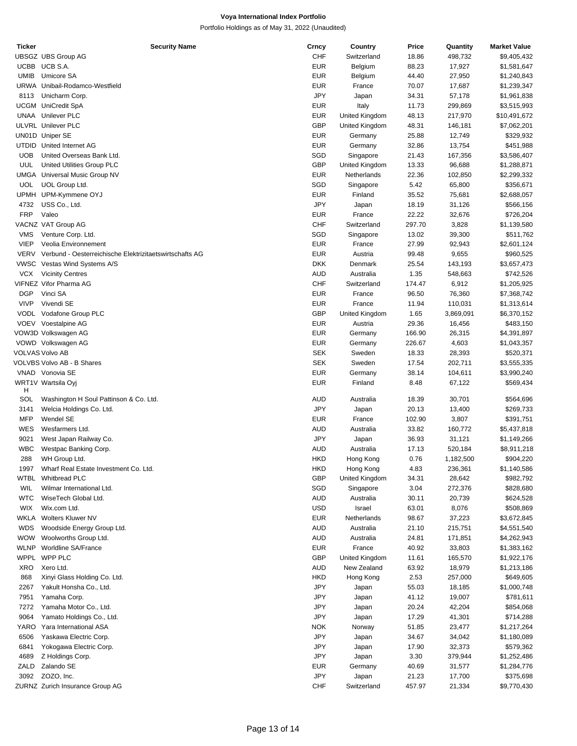| <b>Ticker</b> | <b>Security Name</b>                                    | Crncy      | Country        | Price  | Quantity  | <b>Market Value</b> |
|---------------|---------------------------------------------------------|------------|----------------|--------|-----------|---------------------|
|               | UBSGZ UBS Group AG                                      | <b>CHF</b> | Switzerland    | 18.86  | 498,732   | \$9,405,432         |
|               | UCBB UCB S.A.                                           | <b>EUR</b> | Belgium        | 88.23  | 17,927    | \$1,581,647         |
| <b>UMIB</b>   | Umicore SA                                              | <b>EUR</b> | Belgium        | 44.40  | 27,950    | \$1,240,843         |
|               | URWA Unibail-Rodamco-Westfield                          | <b>EUR</b> | France         | 70.07  | 17,687    | \$1,239,347         |
| 8113          | Unicharm Corp.                                          | <b>JPY</b> | Japan          | 34.31  | 57,178    | \$1,961,838         |
|               | <b>UCGM</b> UniCredit SpA                               | <b>EUR</b> | Italy          | 11.73  | 299,869   |                     |
|               |                                                         |            |                |        |           | \$3,515,993         |
|               | <b>UNAA</b> Unilever PLC                                | <b>EUR</b> | United Kingdom | 48.13  | 217,970   | \$10,491,672        |
|               | ULVRL Unilever PLC                                      | <b>GBP</b> | United Kingdom | 48.31  | 146,181   | \$7,062,201         |
|               | UN01D Uniper SE                                         | <b>EUR</b> | Germany        | 25.88  | 12,749    | \$329,932           |
|               | UTDID United Internet AG                                | <b>EUR</b> | Germany        | 32.86  | 13,754    | \$451,988           |
| <b>UOB</b>    | United Overseas Bank Ltd.                               | SGD        | Singapore      | 21.43  | 167,356   | \$3,586,407         |
| UUL           | United Utilities Group PLC                              | GBP        | United Kingdom | 13.33  | 96,688    | \$1,288,871         |
|               | <b>UMGA</b> Universal Music Group NV                    | <b>EUR</b> | Netherlands    | 22.36  | 102,850   | \$2,299,332         |
| <b>UOL</b>    | UOL Group Ltd.                                          | SGD        | Singapore      | 5.42   | 65,800    | \$356,671           |
|               | UPMH UPM-Kymmene OYJ                                    | <b>EUR</b> | Finland        | 35.52  | 75,681    | \$2,688,057         |
| 4732          | USS Co., Ltd.                                           | <b>JPY</b> | Japan          | 18.19  | 31,126    | \$566,156           |
| <b>FRP</b>    | Valeo                                                   | <b>EUR</b> | France         | 22.22  | 32,676    | \$726,204           |
|               | VACNZ VAT Group AG                                      | <b>CHF</b> | Switzerland    | 297.70 | 3,828     |                     |
|               |                                                         |            |                |        |           | \$1,139,580         |
| <b>VMS</b>    | Venture Corp. Ltd.                                      | SGD        | Singapore      | 13.02  | 39,300    | \$511,762           |
| <b>VIEP</b>   | Veolia Environnement                                    | <b>EUR</b> | France         | 27.99  | 92,943    | \$2,601,124         |
| VERV          | Verbund - Oesterreichische Elektrizitaetswirtschafts AG | <b>EUR</b> | Austria        | 99.48  | 9,655     | \$960,525           |
|               | VWSC Vestas Wind Systems A/S                            | <b>DKK</b> | Denmark        | 25.54  | 143,193   | \$3,657,473         |
| <b>VCX</b>    | <b>Vicinity Centres</b>                                 | <b>AUD</b> | Australia      | 1.35   | 548,663   | \$742,526           |
|               | <b>VIFNEZ Vifor Pharma AG</b>                           | <b>CHF</b> | Switzerland    | 174.47 | 6,912     | \$1,205,925         |
| <b>DGP</b>    | Vinci SA                                                | <b>EUR</b> | France         | 96.50  | 76,360    | \$7,368,742         |
| <b>VIVP</b>   | Vivendi SE                                              | <b>EUR</b> | France         | 11.94  | 110,031   | \$1,313,614         |
|               | VODL Vodafone Group PLC                                 | GBP        | United Kingdom | 1.65   | 3,869,091 | \$6,370,152         |
|               | VOEV Voestalpine AG                                     | <b>EUR</b> | Austria        | 29.36  | 16,456    | \$483,150           |
|               | VOW3D Volkswagen AG                                     | <b>EUR</b> | Germany        | 166.90 | 26,315    | \$4,391,897         |
|               |                                                         |            |                |        |           |                     |
|               | VOWD Volkswagen AG                                      | <b>EUR</b> | Germany        | 226.67 | 4,603     | \$1,043,357         |
|               | VOLVAS Volvo AB                                         | <b>SEK</b> | Sweden         | 18.33  | 28,393    | \$520,371           |
|               | VOLVBS Volvo AB - B Shares                              | <b>SEK</b> | Sweden         | 17.54  | 202,711   | \$3,555,335         |
|               | VNAD Vonovia SE                                         | <b>EUR</b> | Germany        | 38.14  | 104,611   | \$3,990,240         |
| H             | WRT1V Wartsila Oyj                                      | <b>EUR</b> | Finland        | 8.48   | 67,122    | \$569,434           |
| SOL           | Washington H Soul Pattinson & Co. Ltd.                  | AUD        | Australia      | 18.39  | 30,701    | \$564,696           |
| 3141          | Welcia Holdings Co. Ltd.                                | <b>JPY</b> | Japan          | 20.13  | 13,400    | \$269,733           |
| <b>MFP</b>    | Wendel SE                                               | <b>EUR</b> | France         | 102.90 | 3,807     | \$391,751           |
| <b>WES</b>    | Wesfarmers Ltd.                                         | AUD        | Australia      | 33.82  | 160,772   | \$5,437,818         |
| 9021          |                                                         |            |                |        |           |                     |
|               | West Japan Railway Co.                                  | JPY        | Japan          | 36.93  | 31,121    | \$1,149,266         |
| <b>WBC</b>    | Westpac Banking Corp.                                   | AUD        | Australia      | 17.13  | 520,184   | \$8,911,218         |
| 288           | WH Group Ltd.                                           | <b>HKD</b> | Hong Kong      | 0.76   | 1,182,500 | \$904,220           |
| 1997          | Wharf Real Estate Investment Co. Ltd.                   | <b>HKD</b> | Hong Kong      | 4.83   | 236,361   | \$1,140,586         |
| WTBL          | <b>Whitbread PLC</b>                                    | <b>GBP</b> | United Kingdom | 34.31  | 28,642    | \$982,792           |
| <b>WIL</b>    | Wilmar International Ltd.                               | SGD        | Singapore      | 3.04   | 272,376   | \$828,680           |
| <b>WTC</b>    | WiseTech Global Ltd.                                    | <b>AUD</b> | Australia      | 30.11  | 20,739    | \$624,528           |
| <b>WIX</b>    | Wix.com Ltd.                                            | <b>USD</b> | Israel         | 63.01  | 8,076     | \$508,869           |
| WKLA          | Wolters Kluwer NV                                       | <b>EUR</b> | Netherlands    | 98.67  | 37,223    | \$3,672,845         |
| <b>WDS</b>    | Woodside Energy Group Ltd.                              | <b>AUD</b> | Australia      | 21.10  | 215,751   | \$4,551,540         |
| <b>WOW</b>    | Woolworths Group Ltd.                                   | <b>AUD</b> | Australia      | 24.81  | 171,851   | \$4,262,943         |
|               | WLNP Worldline SA/France                                | <b>EUR</b> | France         | 40.92  | 33,803    | \$1,383,162         |
|               | WPPL WPP PLC                                            | <b>GBP</b> |                |        |           |                     |
|               |                                                         |            | United Kingdom | 11.61  | 165,570   | \$1,922,176         |
| XRO           | Xero Ltd.                                               | <b>AUD</b> | New Zealand    | 63.92  | 18,979    | \$1,213,186         |
| 868           | Xinyi Glass Holding Co. Ltd.                            | <b>HKD</b> | Hong Kong      | 2.53   | 257,000   | \$649,605           |
| 2267          | Yakult Honsha Co., Ltd.                                 | JPY        | Japan          | 55.03  | 18,185    | \$1,000,748         |
| 7951          | Yamaha Corp.                                            | JPY        | Japan          | 41.12  | 19,007    | \$781,611           |
| 7272          | Yamaha Motor Co., Ltd.                                  | JPY        | Japan          | 20.24  | 42,204    | \$854,068           |
| 9064          | Yamato Holdings Co., Ltd.                               | JPY        | Japan          | 17.29  | 41,301    | \$714,288           |
| YARO          | Yara International ASA                                  | <b>NOK</b> | Norway         | 51.85  | 23,477    | \$1,217,264         |
| 6506          | Yaskawa Electric Corp.                                  | <b>JPY</b> | Japan          | 34.67  | 34,042    | \$1,180,089         |
| 6841          | Yokogawa Electric Corp.                                 | JPY        | Japan          | 17.90  | 32,373    | \$579,362           |
| 4689          | Z Holdings Corp.                                        | JPY        | Japan          | 3.30   | 379,944   | \$1,252,486         |
| ZALD          | Zalando SE                                              | <b>EUR</b> | Germany        | 40.69  | 31,577    | \$1,284,776         |
|               |                                                         |            |                |        |           |                     |
| 3092          | ZOZO, Inc.                                              | JPY        | Japan          | 21.23  | 17,700    | \$375,698           |
|               | ZURNZ Zurich Insurance Group AG                         | CHF        | Switzerland    | 457.97 | 21,334    | \$9,770,430         |